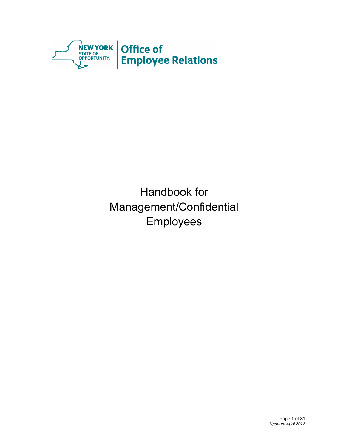

Handbook for Management/Confidential Employees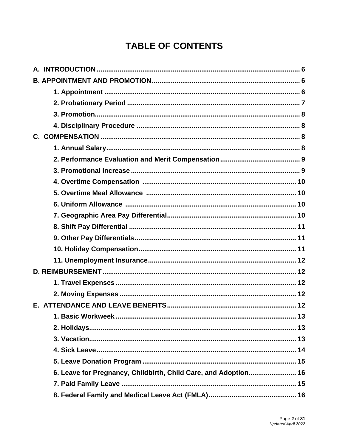# **TABLE OF CONTENTS**

| 13                                                              |
|-----------------------------------------------------------------|
|                                                                 |
|                                                                 |
|                                                                 |
|                                                                 |
| 6. Leave for Pregnancy, Childbirth, Child Care, and Adoption 16 |
|                                                                 |
|                                                                 |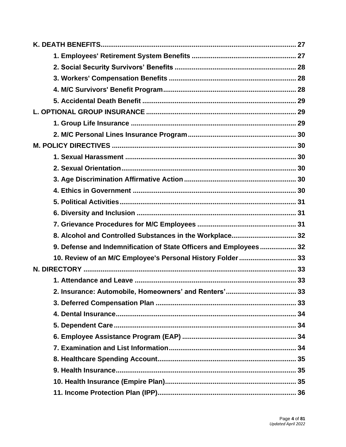| 8. Alcohol and Controlled Substances in the Workplace 32          |  |
|-------------------------------------------------------------------|--|
| 9. Defense and Indemnification of State Officers and Employees 32 |  |
| 10. Review of an M/C Employee's Personal History Folder  33       |  |
|                                                                   |  |
|                                                                   |  |
| 2. Insurance: Automobile, Homeowners' and Renters'<br>33          |  |
|                                                                   |  |
|                                                                   |  |
|                                                                   |  |
|                                                                   |  |
|                                                                   |  |
|                                                                   |  |
|                                                                   |  |
|                                                                   |  |
|                                                                   |  |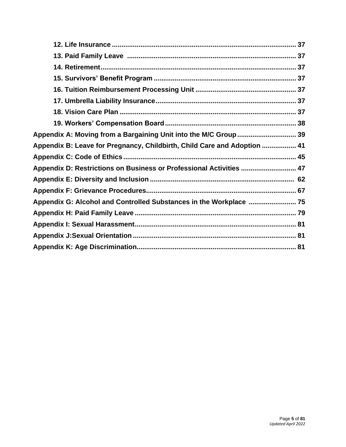| Appendix B: Leave for Pregnancy, Childbirth, Child Care and Adoption  41 |
|--------------------------------------------------------------------------|
|                                                                          |
| Appendix D: Restrictions on Business or Professional Activities  47      |
|                                                                          |
|                                                                          |
| Appendix G: Alcohol and Controlled Substances in the Workplace  75       |
|                                                                          |
|                                                                          |
|                                                                          |
|                                                                          |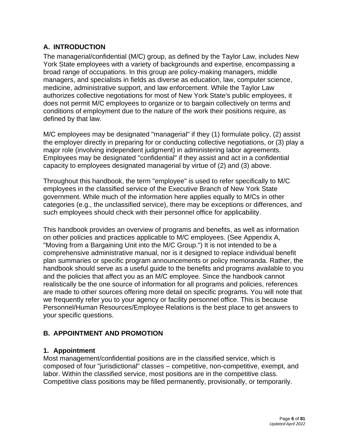# <span id="page-5-0"></span>**A. INTRODUCTION**

The managerial/confidential (M/C) group, as defined by the Taylor Law, includes New York State employees with a variety of backgrounds and expertise, encompassing a broad range of occupations. In this group are policy-making managers, middle managers, and specialists in fields as diverse as education, law, computer science, medicine, administrative support, and law enforcement. While the Taylor Law authorizes collective negotiations for most of New York State's public employees, it does not permit M/C employees to organize or to bargain collectively on terms and conditions of employment due to the nature of the work their positions require, as defined by that law.

M/C employees may be designated "managerial" if they (1) formulate policy, (2) assist the employer directly in preparing for or conducting collective negotiations, or (3) play a major role (involving independent judgment) in administering labor agreements. Employees may be designated "confidential" if they assist and act in a confidential capacity to employees designated managerial by virtue of (2) and (3) above.

Throughout this handbook, the term "employee" is used to refer specifically to M/C employees in the classified service of the Executive Branch of New York State government. While much of the information here applies equally to M/Cs in other categories (e.g., the unclassified service), there may be exceptions or differences, and such employees should check with their personnel office for applicability.

This handbook provides an overview of programs and benefits, as well as information on other policies and practices applicable to M/C employees. (See [Appendix A,](https://www.goer.ny.gov/Labor_Relations/ManagementConfidential/Handbook/appdxa.cfm) "Moving from a Bargaining Unit into the M/C Group.") It is not intended to be a comprehensive administrative manual, nor is it designed to replace individual benefit plan summaries or specific program announcements or policy memoranda. Rather, the handbook should serve as a useful guide to the benefits and programs available to you and the policies that affect you as an M/C employee. Since the handbook cannot realistically be the one source of information for all programs and policies, references are made to other sources offering more detail on specific programs. You will note that we frequently refer you to your agency or facility personnel office. This is because Personnel/Human Resources/Employee Relations is the best place to get answers to your specific questions.

# **B. APPOINTMENT AND PROMOTION**

### <span id="page-5-1"></span>**1. Appointment**

Most management/confidential positions are in the classified service, which is composed of four "jurisdictional" classes – competitive, non-competitive, exempt, and labor. Within the classified service, most positions are in the competitive class. Competitive class positions may be filled permanently, provisionally, or temporarily.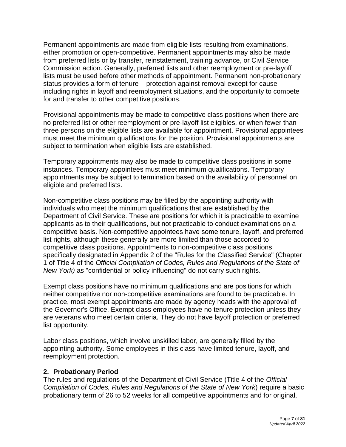Permanent appointments are made from eligible lists resulting from examinations, either promotion or open-competitive. Permanent appointments may also be made from preferred lists or by transfer, reinstatement, training advance, or Civil Service Commission action. Generally, preferred lists and other reemployment or pre-layoff lists must be used before other methods of appointment. Permanent non-probationary status provides a form of tenure – protection against removal except for cause – including rights in layoff and reemployment situations, and the opportunity to compete for and transfer to other competitive positions.

Provisional appointments may be made to competitive class positions when there are no preferred list or other reemployment or pre-layoff list eligibles, or when fewer than three persons on the eligible lists are available for appointment. Provisional appointees must meet the minimum qualifications for the position. Provisional appointments are subject to termination when eligible lists are established.

Temporary appointments may also be made to competitive class positions in some instances. Temporary appointees must meet minimum qualifications. Temporary appointments may be subject to termination based on the availability of personnel on eligible and preferred lists.

Non-competitive class positions may be filled by the appointing authority with individuals who meet the minimum qualifications that are established by the Department of Civil Service. These are positions for which it is practicable to examine applicants as to their qualifications, but not practicable to conduct examinations on a competitive basis. Non-competitive appointees have some tenure, layoff, and preferred list rights, although these generally are more limited than those accorded to competitive class positions. Appointments to non-competitive class positions specifically designated in Appendix 2 of the "Rules for the Classified Service" (Chapter 1 of Title 4 of the *Official Compilation of Codes, Rules and Regulations of the State of New York)* as "confidential or policy influencing" do not carry such rights.

Exempt class positions have no minimum qualifications and are positions for which neither competitive nor non-competitive examinations are found to be practicable. In practice, most exempt appointments are made by agency heads with the approval of the Governor's Office. Exempt class employees have no tenure protection unless they are veterans who meet certain criteria. They do not have layoff protection or preferred list opportunity.

Labor class positions, which involve unskilled labor, are generally filled by the appointing authority. Some employees in this class have limited tenure, layoff, and reemployment protection.

### <span id="page-6-0"></span>**2. Probationary Period**

The rules and regulations of the Department of Civil Service (Title 4 of the *Official Compilation of Codes, Rules and Regulations of the State of New York*) require a basic probationary term of 26 to 52 weeks for all competitive appointments and for original,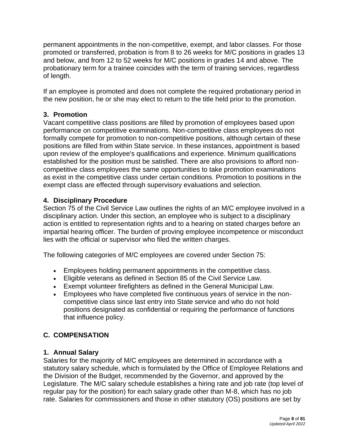permanent appointments in the non-competitive, exempt, and labor classes. For those promoted or transferred, probation is from 8 to 26 weeks for M/C positions in grades 13 and below, and from 12 to 52 weeks for M/C positions in grades 14 and above. The probationary term for a trainee coincides with the term of training services, regardless of length.

If an employee is promoted and does not complete the required probationary period in the new position, he or she may elect to return to the title held prior to the promotion.

# <span id="page-7-0"></span>**3. Promotion**

Vacant competitive class positions are filled by promotion of employees based upon performance on competitive examinations. Non-competitive class employees do not formally compete for promotion to non-competitive positions, although certain of these positions are filled from within State service. In these instances, appointment is based upon review of the employee's qualifications and experience. Minimum qualifications established for the position must be satisfied. There are also provisions to afford noncompetitive class employees the same opportunities to take promotion examinations as exist in the competitive class under certain conditions. Promotion to positions in the exempt class are effected through supervisory evaluations and selection.

# <span id="page-7-1"></span>**4. Disciplinary Procedure**

Section 75 of the Civil Service Law outlines the rights of an M/C employee involved in a disciplinary action. Under this section, an employee who is subject to a disciplinary action is entitled to representation rights and to a hearing on stated charges before an impartial hearing officer. The burden of proving employee incompetence or misconduct lies with the official or supervisor who filed the written charges.

The following categories of M/C employees are covered under Section 75:

- Employees holding permanent appointments in the competitive class.
- Eligible veterans as defined in Section 85 of the Civil Service Law.
- Exempt volunteer firefighters as defined in the General Municipal Law.
- Employees who have completed five continuous years of service in the noncompetitive class since last entry into State service and who do not hold positions designated as confidential or requiring the performance of functions that influence policy.

# <span id="page-7-2"></span>**C. COMPENSATION**

# <span id="page-7-3"></span>**1. Annual Salary**

Salaries for the majority of M/C employees are determined in accordance with a statutory salary schedule, which is formulated by the Office of Employee Relations and the Division of the Budget, recommended by the Governor, and approved by the Legislature. The M/C salary schedule establishes a hiring rate and job rate (top level of regular pay for the position) for each salary grade other than M-8, which has no job rate. Salaries for commissioners and those in other statutory (OS) positions are set by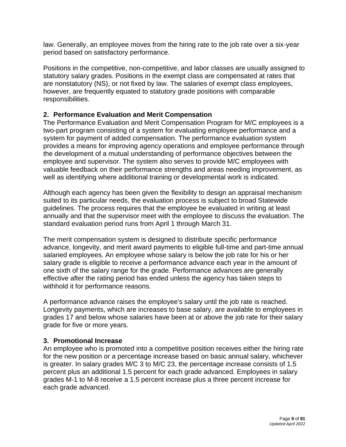law. Generally, an employee moves from the hiring rate to the job rate over a six-year period based on satisfactory performance.

Positions in the competitive, non-competitive, and labor classes are usually assigned to statutory salary grades. Positions in the exempt class are compensated at rates that are nonstatutory (NS), or not fixed by law. The salaries of exempt class employees, however, are frequently equated to statutory grade positions with comparable responsibilities.

# <span id="page-8-0"></span>**2. Performance Evaluation and Merit Compensation**

The Performance Evaluation and Merit Compensation Program for M/C employees is a two-part program consisting of a system for evaluating employee performance and a system for payment of added compensation. The performance evaluation system provides a means for improving agency operations and employee performance through the development of a mutual understanding of performance objectives between the employee and supervisor. The system also serves to provide M/C employees with valuable feedback on their performance strengths and areas needing improvement, as well as identifying where additional training or developmental work is indicated.

Although each agency has been given the flexibility to design an appraisal mechanism suited to its particular needs, the evaluation process is subject to broad Statewide guidelines. The process requires that the employee be evaluated in writing at least annually and that the supervisor meet with the employee to discuss the evaluation. The standard evaluation period runs from April 1 through March 31.

The merit compensation system is designed to distribute specific performance advance, longevity, and merit award payments to eligible full-time and part-time annual salaried employees. An employee whose salary is below the job rate for his or her salary grade is eligible to receive a performance advance each year in the amount of one sixth of the salary range for the grade. Performance advances are generally effective after the rating period has ended unless the agency has taken steps to withhold it for performance reasons.

A performance advance raises the employee's salary until the job rate is reached. Longevity payments, which are increases to base salary, are available to employees in grades 17 and below whose salaries have been at or above the job rate for their salary grade for five or more years.

### <span id="page-8-1"></span>**3. Promotional Increase**

An employee who is promoted into a competitive position receives either the hiring rate for the new position or a percentage increase based on basic annual salary, whichever is greater. In salary grades M/C 3 to M/C 23, the percentage increase consists of 1.5 percent plus an additional 1.5 percent for each grade advanced. Employees in salary grades M-1 to M-8 receive a 1.5 percent increase plus a three percent increase for each grade advanced.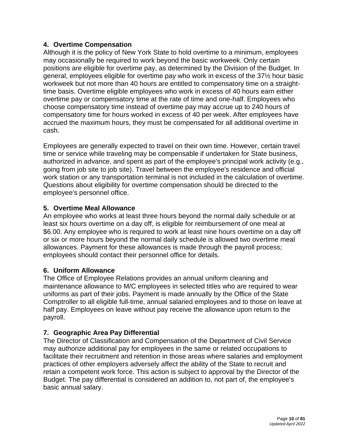### <span id="page-9-0"></span>**4. Overtime Compensation**

Although it is the policy of New York State to hold overtime to a minimum, employees may occasionally be required to work beyond the basic workweek. Only certain positions are eligible for overtime pay, as determined by the Division of the Budget. In general, employees eligible for overtime pay who work in excess of the 37½ hour basic workweek but not more than 40 hours are entitled to compensatory time on a straighttime basis. Overtime eligible employees who work in excess of 40 hours earn either overtime pay or compensatory time at the rate of time and one-half. Employees who choose compensatory time instead of overtime pay may accrue up to 240 hours of compensatory time for hours worked in excess of 40 per week. After employees have accrued the maximum hours, they must be compensated for all additional overtime in cash.

Employees are generally expected to travel on their own time. However, certain travel time or service while traveling may be compensable if undertaken for State business, authorized in advance, and spent as part of the employee's principal work activity (e.g., going from job site to job site). Travel between the employee's residence and official work station or any transportation terminal is not included in the calculation of overtime. Questions about eligibility for overtime compensation should be directed to the employee's personnel office.

# <span id="page-9-1"></span>**5. Overtime Meal Allowance**

An employee who works at least three hours beyond the normal daily schedule or at least six hours overtime on a day off, is eligible for reimbursement of one meal at \$6.00. Any employee who is required to work at least nine hours overtime on a day off or six or more hours beyond the normal daily schedule is allowed two overtime meal allowances. Payment for these allowances is made through the payroll process; employees should contact their personnel office for details.

### **6. Uniform Allowance**

The Office of Employee Relations provides an annual uniform cleaning and maintenance allowance to M/C employees in selected titles who are required to wear uniforms as part of their jobs. Payment is made annually by the Office of the State Comptroller to all eligible full-time, annual salaried employees and to those on leave at half pay. Employees on leave without pay receive the allowance upon return to the payroll.

# **7. Geographic Area Pay Differential**

<span id="page-9-2"></span>The Director of Classification and Compensation of the Department of Civil Service may authorize additional pay for employees in the same or related occupations to facilitate their recruitment and retention in those areas where salaries and employment practices of other employers adversely affect the ability of the State to recruit and retain a competent work force. This action is subject to approval by the Director of the Budget. The pay differential is considered an addition to, not part of, the employee's basic annual salary.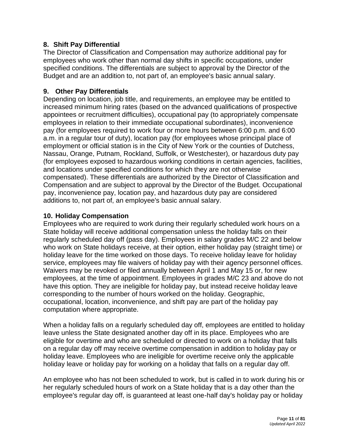### <span id="page-10-0"></span>**8. Shift Pay Differential**

The Director of Classification and Compensation may authorize additional pay for employees who work other than normal day shifts in specific occupations, under specified conditions. The differentials are subject to approval by the Director of the Budget and are an addition to, not part of, an employee's basic annual salary.

### <span id="page-10-1"></span>**9. Other Pay Differentials**

Depending on location, job title, and requirements, an employee may be entitled to increased minimum hiring rates (based on the advanced qualifications of prospective appointees or recruitment difficulties), occupational pay (to appropriately compensate employees in relation to their immediate occupational subordinates), inconvenience pay (for employees required to work four or more hours between 6:00 p.m. and 6:00 a.m. in a regular tour of duty), location pay (for employees whose principal place of employment or official station is in the City of New York or the counties of Dutchess, Nassau, Orange, Putnam, Rockland, Suffolk, or Westchester), or hazardous duty pay (for employees exposed to hazardous working conditions in certain agencies, facilities, and locations under specified conditions for which they are not otherwise compensated). These differentials are authorized by the Director of Classification and Compensation and are subject to approval by the Director of the Budget. Occupational pay, inconvenience pay, location pay, and hazardous duty pay are considered additions to, not part of, an employee's basic annual salary.

### <span id="page-10-2"></span>**10. Holiday Compensation**

Employees who are required to work during their regularly scheduled work hours on a State holiday will receive additional compensation unless the holiday falls on their regularly scheduled day off (pass day). Employees in salary grades M/C 22 and below who work on State holidays receive, at their option, either holiday pay (straight time) or holiday leave for the time worked on those days. To receive holiday leave for holiday service, employees may file waivers of holiday pay with their agency personnel offices. Waivers may be revoked or filed annually between April 1 and May 15 or, for new employees, at the time of appointment. Employees in grades M/C 23 and above do not have this option. They are ineligible for holiday pay, but instead receive holiday leave corresponding to the number of hours worked on the holiday. Geographic, occupational, location, inconvenience, and shift pay are part of the holiday pay computation where appropriate.

When a holiday falls on a regularly scheduled day off, employees are entitled to holiday leave unless the State designated another day off in its place. Employees who are eligible for overtime and who are scheduled or directed to work on a holiday that falls on a regular day off may receive overtime compensation in addition to holiday pay or holiday leave. Employees who are ineligible for overtime receive only the applicable holiday leave or holiday pay for working on a holiday that falls on a regular day off.

An employee who has not been scheduled to work, but is called in to work during his or her regularly scheduled hours of work on a State holiday that is a day other than the employee's regular day off, is guaranteed at least one-half day's holiday pay or holiday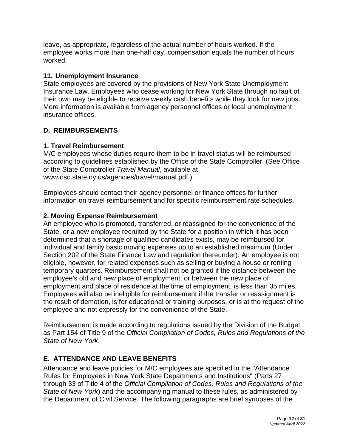leave, as appropriate, regardless of the actual number of hours worked. If the employee works more than one-half day, compensation equals the number of hours worked.

### <span id="page-11-0"></span>**11. Unemployment Insurance**

State employees are covered by the provisions of New York State Unemployment Insurance Law. Employees who cease working for New York State through no fault of their own may be eligible to receive weekly cash benefits while they look for new jobs. More information is available from agency personnel offices or local unemployment insurance offices.

# **D. REIMBURSEMENTS**

# <span id="page-11-1"></span>**1. Travel Reimbursement**

M/C employees whose duties require them to be in travel status will be reimbursed according to guidelines established by the Office of the State Comptroller. (See Office of the State Comptroller *Travel Manual*, available at [www.osc.state.ny.us/agencies/travel/manual.pdf.](http://www.osc.state.ny.us/agencies/travel/manual.pdf))

Employees should contact their agency personnel or finance offices for further information on travel reimbursement and for specific reimbursement rate schedules.

### **2. Moving Expense Reimbursement**

An employee who is promoted, transferred, or reassigned for the convenience of the State, or a new employee recruited by the State for a position in which it has been determined that a shortage of qualified candidates exists, may be reimbursed for individual and family basic moving expenses up to an established maximum (Under Section 202 of the State Finance Law and regulation thereunder). An employee is not eligible, however, for related expenses such as selling or buying a house or renting temporary quarters. Reimbursement shall not be granted if the distance between the employee's old and new place of employment, or between the new place of employment and place of residence at the time of employment, is less than 35 miles. Employees will also be ineligible for reimbursement if the transfer or reassignment is the result of demotion, is for educational or training purposes, or is at the request of the employee and not expressly for the convenience of the State.

Reimbursement is made according to regulations issued by the Division of the Budget as Part 154 of Title 9 of the *Official Compilation of Codes, Rules and Regulations of the State of New York*.

# <span id="page-11-2"></span>**E. ATTENDANCE AND LEAVE BENEFITS**

Attendance and leave policies for M/C employees are specified in the "Attendance Rules for Employees in New York State Departments and Institutions" (Parts 27 through 33 of Title 4 of the *Official Compilation of Codes, Rules and Regulations of the State of New York*) and the accompanying manual to these rules, as administered by the Department of Civil Service. The following paragraphs are brief synopses of the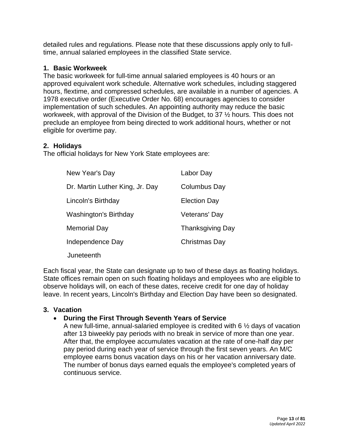detailed rules and regulations. Please note that these discussions apply only to fulltime, annual salaried employees in the classified State service.

### <span id="page-12-0"></span>**1. Basic Workweek**

The basic workweek for full-time annual salaried employees is 40 hours or an approved equivalent work schedule. Alternative work schedules, including staggered hours, flextime, and compressed schedules, are available in a number of agencies. A 1978 executive order (Executive Order No. 68) encourages agencies to consider implementation of such schedules. An appointing authority may reduce the basic workweek, with approval of the Division of the Budget, to 37 ½ hours. This does not preclude an employee from being directed to work additional hours, whether or not eligible for overtime pay.

# **2. Holidays**

The official holidays for New York State employees are:

<span id="page-12-1"></span>

| New Year's Day                  | Labor Day               |
|---------------------------------|-------------------------|
| Dr. Martin Luther King, Jr. Day | Columbus Day            |
| Lincoln's Birthday              | <b>Election Day</b>     |
| Washington's Birthday           | Veterans' Day           |
| Memorial Day                    | <b>Thanksgiving Day</b> |
| Independence Day                | Christmas Day           |
| Juneteenth                      |                         |

Each fiscal year, the State can designate up to two of these days as floating holidays. State offices remain open on such floating holidays and employees who are eligible to observe holidays will, on each of these dates, receive credit for one day of holiday leave. In recent years, Lincoln's Birthday and Election Day have been so designated.

# **3. Vacation**

# • **During the First Through Seventh Years of Service**

<span id="page-12-2"></span>A new full-time, annual-salaried employee is credited with 6 ½ days of vacation after 13 biweekly pay periods with no break in service of more than one year. After that, the employee accumulates vacation at the rate of one-half day per pay period during each year of service through the first seven years. An M/C employee earns bonus vacation days on his or her vacation anniversary date. The number of bonus days earned equals the employee's completed years of continuous service.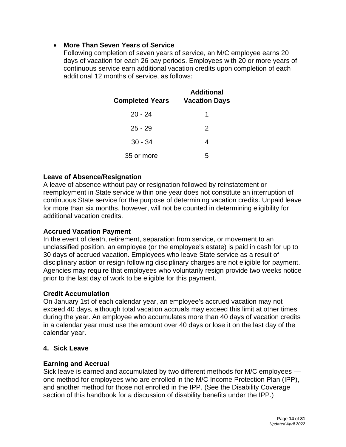### <span id="page-13-0"></span>• **More Than Seven Years of Service**

Following completion of seven years of service, an M/C employee earns 20 days of vacation for each 26 pay periods. Employees with 20 or more years of continuous service earn additional vacation credits upon completion of each additional 12 months of service, as follows:

| <b>Completed Years</b> | <b>Additional</b><br><b>Vacation Days</b> |  |
|------------------------|-------------------------------------------|--|
| $20 - 24$              | 1                                         |  |
| $25 - 29$              | $\mathcal{P}$                             |  |
| $30 - 34$              | 4                                         |  |
| 35 or more             | 5                                         |  |

### **Leave of Absence/Resignation**

A leave of absence without pay or resignation followed by reinstatement or reemployment in State service within one year does not constitute an interruption of continuous State service for the purpose of determining vacation credits. Unpaid leave for more than six months, however, will not be counted in determining eligibility for additional vacation credits.

### **Accrued Vacation Payment**

In the event of death, retirement, separation from service, or movement to an unclassified position, an employee (or the employee's estate) is paid in cash for up to 30 days of accrued vacation. Employees who leave State service as a result of disciplinary action or resign following disciplinary charges are not eligible for payment. Agencies may require that employees who voluntarily resign provide two weeks notice prior to the last day of work to be eligible for this payment.

### **Credit Accumulation**

On January 1st of each calendar year, an employee's accrued vacation may not exceed 40 days, although total vacation accruals may exceed this limit at other times during the year. An employee who accumulates more than 40 days of vacation credits in a calendar year must use the amount over 40 days or lose it on the last day of the calendar year.

# **4. Sick Leave**

### **Earning and Accrual**

Sick leave is earned and accumulated by two different methods for M/C employees one method for employees who are enrolled in the M/C Income Protection Plan (IPP), and another method for those not enrolled in the IPP. (See the Disability Coverage section of this handbook for a discussion of disability benefits under the IPP.)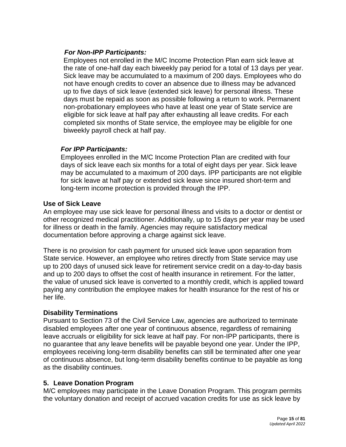### *For Non-IPP Participants:*

Employees not enrolled in the M/C Income Protection Plan earn sick leave at the rate of one-half day each biweekly pay period for a total of 13 days per year. Sick leave may be accumulated to a maximum of 200 days. Employees who do not have enough credits to cover an absence due to illness may be advanced up to five days of sick leave (extended sick leave) for personal illness. These days must be repaid as soon as possible following a return to work. Permanent non-probationary employees who have at least one year of State service are eligible for sick leave at half pay after exhausting all leave credits. For each completed six months of State service, the employee may be eligible for one biweekly payroll check at half pay.

### *For IPP Participants:*

Employees enrolled in the M/C Income Protection Plan are credited with four days of sick leave each six months for a total of eight days per year. Sick leave may be accumulated to a maximum of 200 days. IPP participants are not eligible for sick leave at half pay or extended sick leave since insured short-term and long-term income protection is provided through the IPP.

### **Use of Sick Leave**

An employee may use sick leave for personal illness and visits to a doctor or dentist or other recognized medical practitioner. Additionally, up to 15 days per year may be used for illness or death in the family. Agencies may require satisfactory medical documentation before approving a charge against sick leave.

There is no provision for cash payment for unused sick leave upon separation from State service. However, an employee who retires directly from State service may use up to 200 days of unused sick leave for retirement service credit on a day-to-day basis and up to 200 days to offset the cost of health insurance in retirement. For the latter, the value of unused sick leave is converted to a monthly credit, which is applied toward paying any contribution the employee makes for health insurance for the rest of his or her life.

### **Disability Terminations**

Pursuant to Section 73 of the Civil Service Law, agencies are authorized to terminate disabled employees after one year of continuous absence, regardless of remaining leave accruals or eligibility for sick leave at half pay. For non-IPP participants, there is no guarantee that any leave benefits will be payable beyond one year. Under the IPP, employees receiving long-term disability benefits can still be terminated after one year of continuous absence, but long-term disability benefits continue to be payable as long as the disability continues.

### <span id="page-14-0"></span>**5. Leave Donation Program**

M/C employees may participate in the Leave Donation Program. This program permits the voluntary donation and receipt of accrued vacation credits for use as sick leave by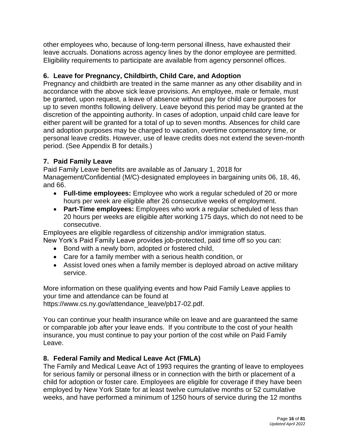other employees who, because of long-term personal illness, have exhausted their leave accruals. Donations across agency lines by the donor employee are permitted. Eligibility requirements to participate are available from agency personnel offices.

# <span id="page-15-0"></span>**6. Leave for Pregnancy, Childbirth, Child Care, and Adoption**

Pregnancy and childbirth are treated in the same manner as any other disability and in accordance with the above sick leave provisions. An employee, male or female, must be granted, upon request, a leave of absence without pay for child care purposes for up to seven months following delivery. Leave beyond this period may be granted at the discretion of the appointing authority. In cases of adoption, unpaid child care leave for either parent will be granted for a total of up to seven months. Absences for child care and adoption purposes may be charged to vacation, overtime compensatory time, or personal leave credits. However, use of leave credits does not extend the seven-month period. (See Appendix B for details.)

# **7. Paid Family Leave**

Paid Family Leave benefits are available as of January 1, 2018 for Management/Confidential (M/C)-designated employees in bargaining units 06, 18, 46, and 66.

- **Full-time employees:** Employee who work a regular scheduled of 20 or more hours per week are eligible after 26 consecutive weeks of employment.
- **Part-Time employees:** Employees who work a regular scheduled of less than 20 hours per weeks are eligible after working 175 days, which do not need to be consecutive.

Employees are eligible regardless of citizenship and/or immigration status.

- New York's Paid Family Leave provides job-protected, paid time off so you can:
	- Bond with a newly born, adopted or fostered child,
	- Care for a family member with a serious health condition, or
	- Assist loved ones when a family member is deployed abroad on active military service.

More information on these qualifying events and how Paid Family Leave applies to your time and attendance can be found at [https://www.cs.ny.gov/attendance\\_leave/pb17-02.pdf.](https://www.cs.ny.gov/attendance_leave/pb17-02.pdf)

You can continue your health insurance while on leave and are guaranteed the same or comparable job after your leave ends. If you contribute to the cost of your health insurance, you must continue to pay your portion of the cost while on Paid Family Leave.

# **8. Federal Family and Medical Leave Act (FMLA)**

<span id="page-15-1"></span>The Family and Medical Leave Act of 1993 requires the granting of leave to employees for serious family or personal illness or in connection with the birth or placement of a child for adoption or foster care. Employees are eligible for coverage if they have been employed by New York State for at least twelve cumulative months or 52 cumulative weeks, and have performed a minimum of 1250 hours of service during the 12 months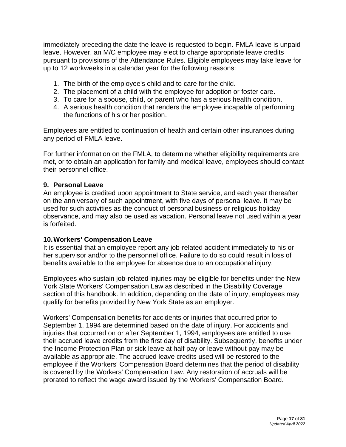immediately preceding the date the leave is requested to begin. FMLA leave is unpaid leave. However, an M/C employee may elect to charge appropriate leave credits pursuant to provisions of the Attendance Rules. Eligible employees may take leave for up to 12 workweeks in a calendar year for the following reasons:

- 1. The birth of the employee's child and to care for the child.
- 2. The placement of a child with the employee for adoption or foster care.
- 3. To care for a spouse, child, or parent who has a serious health condition.
- 4. A serious health condition that renders the employee incapable of performing the functions of his or her position.

Employees are entitled to continuation of health and certain other insurances during any period of FMLA leave.

For further information on the FMLA, to determine whether eligibility requirements are met, or to obtain an application for family and medical leave, employees should contact their personnel office.

### <span id="page-16-0"></span>**9. Personal Leave**

An employee is credited upon appointment to State service, and each year thereafter on the anniversary of such appointment, with five days of personal leave. It may be used for such activities as the conduct of personal business or religious holiday observance, and may also be used as vacation. Personal leave not used within a year is forfeited.

### <span id="page-16-1"></span>**10.Workers' Compensation Leave**

It is essential that an employee report any job-related accident immediately to his or her supervisor and/or to the personnel office. Failure to do so could result in loss of benefits available to the employee for absence due to an occupational injury.

Employees who sustain job-related injuries may be eligible for benefits under the New York State Workers' Compensation Law as described in the Disability Coverage section of this handbook. In addition, depending on the date of injury, employees may qualify for benefits provided by New York State as an employer.

Workers' Compensation benefits for accidents or injuries that occurred prior to September 1, 1994 are determined based on the date of injury. For accidents and injuries that occurred on or after September 1, 1994, employees are entitled to use their accrued leave credits from the first day of disability. Subsequently, benefits under the Income Protection Plan or sick leave at half pay or leave without pay may be available as appropriate. The accrued leave credits used will be restored to the employee if the Workers' Compensation Board determines that the period of disability is covered by the Workers' Compensation Law. Any restoration of accruals will be prorated to reflect the wage award issued by the Workers' Compensation Board.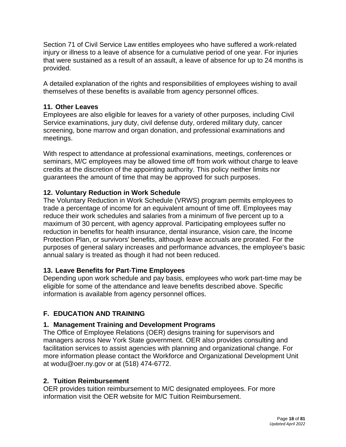Section 71 of Civil Service Law entitles employees who have suffered a work-related injury or illness to a leave of absence for a cumulative period of one year. For injuries that were sustained as a result of an assault, a leave of absence for up to 24 months is provided.

A detailed explanation of the rights and responsibilities of employees wishing to avail themselves of these benefits is available from agency personnel offices.

# <span id="page-17-0"></span>**11. Other Leaves**

Employees are also eligible for leaves for a variety of other purposes, including Civil Service examinations, jury duty, civil defense duty, ordered military duty, cancer screening, bone marrow and organ donation, and professional examinations and meetings.

With respect to attendance at professional examinations, meetings, conferences or seminars, M/C employees may be allowed time off from work without charge to leave credits at the discretion of the appointing authority. This policy neither limits nor guarantees the amount of time that may be approved for such purposes.

# <span id="page-17-1"></span>**12. Voluntary Reduction in Work Schedule**

The Voluntary Reduction in Work Schedule (VRWS) program permits employees to trade a percentage of income for an equivalent amount of time off. Employees may reduce their work schedules and salaries from a minimum of five percent up to a maximum of 30 percent, with agency approval. Participating employees suffer no reduction in benefits for health insurance, dental insurance, vision care, the Income Protection Plan, or survivors' benefits, although leave accruals are prorated. For the purposes of general salary increases and performance advances, the employee's basic annual salary is treated as though it had not been reduced.

### <span id="page-17-2"></span>**13. Leave Benefits for Part-Time Employees**

Depending upon work schedule and pay basis, employees who work part-time may be eligible for some of the attendance and leave benefits described above. Specific information is available from agency personnel offices.

# **F. EDUCATION AND TRAINING**

### <span id="page-17-3"></span>**1. Management Training and Development Programs**

The Office of Employee Relations (OER) designs training for supervisors and managers across New York State government. OER also provides consulting and facilitation services to assist agencies with planning and organizational change. For more information please contact the Workforce and Organizational Development Unit at wodu@oer.ny.gov or at (518) 474-6772.

### <span id="page-17-4"></span>**2. Tuition Reimbursement**

OER provides tuition reimbursement to M/C designated employees. For more information visit the OER [we](http://www.goer.ny.gov/Training_Development/Management_Confidential/index.cfm)bsite for M/C Tuition Reimbursement.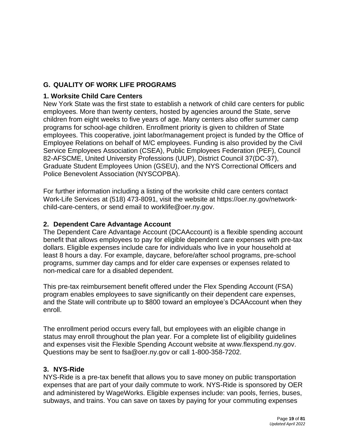# <span id="page-18-0"></span>**G. QUALITY OF WORK LIFE PROGRAMS**

# <span id="page-18-1"></span>**1. Worksite Child Care Centers**

New York State was the first state to establish a network of child care centers for public employees. More than twenty centers, hosted by agencies around the State, serve children from eight weeks to five years of age. Many centers also offer summer camp programs for school-age children. Enrollment priority is given to children of State employees. This cooperative, joint labor/management project is funded by the Office of Employee Relations on behalf of M/C employees. Funding is also provided by the Civil Service Employees Association (CSEA), Public Employees Federation (PEF), Council 82-AFSCME, United University Professions (UUP), District Council 37(DC-37), Graduate Student Employees Union (GSEU), and the NYS Correctional Officers and Police Benevolent Association (NYSCOPBA).

For further information including a listing of the worksite child care centers contact Work-Life Services at (518) 473-8091, visit the website at https://oer.ny.gov/networkchild-care-centers, or send email to [worklife@oer.ny.gov.](mailto:worklife@oer.ny.gov)

### **2. Dependent Care Advantage Account**

The Dependent Care Advantage Account (DCAAccount) is a flexible spending account benefit that allows employees to pay for eligible dependent care expenses with pre-tax dollars. Eligible expenses include care for individuals who live in your household at least 8 hours a day. For example, daycare, before/after school programs, pre-school programs, summer day camps and for elder care expenses or expenses related to non-medical care for a disabled dependent.

This pre-tax reimbursement benefit offered under the Flex Spending Account (FSA) program enables employees to save significantly on their dependent care expenses, and the State will contribute up to \$800 toward an employee's DCAAccount when they enroll.

The enrollment period occurs every fall, but employees with an eligible change in status may enroll throughout the plan year. For a complete list of eligibility guidelines and expenses visit the Flexible Spending Account website at [www.flexspend.ny.gov.](http://www.flexspend.ny.gov/) Questions may be sent to [fsa@oer.ny.gov](mailto:fsa@oer.ny.gov) or call 1-800-358-7202.

### **3. NYS-Ride**

NYS-Ride is a pre-tax benefit that allows you to save money on public transportation expenses that are part of your daily commute to work. NYS-Ride is sponsored by OER and administered by WageWorks. Eligible expenses include: van pools, ferries, buses, subways, and trains. You can save on taxes by paying for your commuting expenses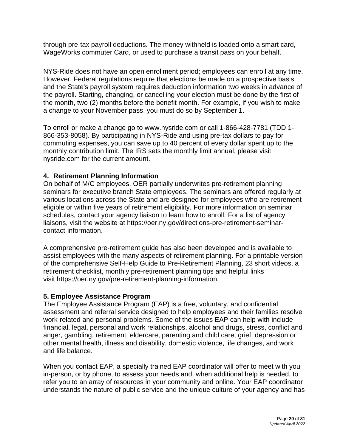<span id="page-19-0"></span>through pre-tax payroll deductions. The money withheld is loaded onto a smart card, WageWorks commuter Card, or used to purchase a transit pass on your behalf.

NYS-Ride does not have an open enrollment period; employees can enroll at any time. However, Federal regulations require that elections be made on a prospective basis and the State's payroll system requires deduction information two weeks in advance of the payroll. Starting, changing, or cancelling your election must be done by the first of the month, two (2) months before the benefit month. For example, if you wish to make a change to your November pass, you must do so by September 1.

To enroll or make a change go to [www.nysride.com](http://www.nysride.com/) or call 1-866-428-7781 (TDD 1- 866-353-8058). By participating in NYS-Ride and using pre-tax dollars to pay for commuting expenses, you can save up to 40 percent of every dollar spent up to the monthly contribution limit. The IRS sets the monthly limit annual, please visit nysride.com for the current amount.

### <span id="page-19-1"></span>**4. Retirement Planning Information**

On behalf of M/C employees, OER partially underwrites pre-retirement planning seminars for executive branch State employees. The seminars are offered regularly at various locations across the State and are designed for employees who are retirementeligible or within five years of retirement eligibility. For more information on seminar schedules, contact your agency liaison to learn how to enroll. For a list of agency liaisons, [visit the website at https://oer.ny.gov/directions-pre-retirement-seminar](file://///goer-smb/goer_shared/Departments/CNA/Management%20Confidential/All%20other%20programs/Management%20Confidential/All%20other%20programs/MC%20Handbook/visit%20the%20website%20at%20https:/oer.ny.gov/directions-pre-retirement-seminar-contact-information)[contact-information.](file://///goer-smb/goer_shared/Departments/CNA/Management%20Confidential/All%20other%20programs/Management%20Confidential/All%20other%20programs/MC%20Handbook/visit%20the%20website%20at%20https:/oer.ny.gov/directions-pre-retirement-seminar-contact-information)

A comprehensive pre-retirement guide has also been developed and is available to assist employees with the many aspects of retirement planning. For a printable version of the comprehensive Self-Help Guide to Pre-Retirement Planning, 23 short videos, a retirement checklist, monthly pre-retirement planning tips and helpful links visit https://oer.ny.gov/pre-retirement-planning-information.

### **5. Employee Assistance Program**

The Employee Assistance Program (EAP) is a free, voluntary, and confidential assessment and referral service designed to help employees and their families resolve work-related and personal problems. Some of the issues EAP can help with include financial, legal, personal and work relationships, alcohol and drugs, stress, conflict and anger, gambling, retirement, eldercare, parenting and child care, grief, depression or other mental health, illness and disability, domestic violence, life changes, and work and life balance.

When you contact EAP, a specially trained EAP coordinator will offer to meet with you in-person, or by phone, to assess your needs and, when additional help is needed, to refer you to an array of resources in your community and online. Your EAP coordinator understands the nature of public service and the unique culture of your agency and has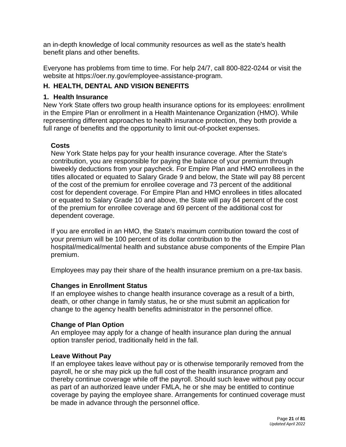an in-depth knowledge of local community resources as well as the state's health benefit plans and other benefits.

Everyone has problems from time to time. For help 24/7, call 800-822-0244 or visit the website at https://oer.ny.gov/employee-assistance-program.

# **H. HEALTH, DENTAL AND VISION BENEFITS**

# <span id="page-20-0"></span>**1. Health Insurance**

New York State offers two group health insurance options for its employees: enrollment in the Empire Plan or enrollment in a Health Maintenance Organization (HMO). While representing different approaches to health insurance protection, they both provide a full range of benefits and the opportunity to limit out-of-pocket expenses.

# **Costs**

New York State helps pay for your health insurance coverage. After the State's contribution, you are responsible for paying the balance of your premium through biweekly deductions from your paycheck. For Empire Plan and HMO enrollees in the titles allocated or equated to Salary Grade 9 and below, the State will pay 88 percent of the cost of the premium for enrollee coverage and 73 percent of the additional cost for dependent coverage. For Empire Plan and HMO enrollees in titles allocated or equated to Salary Grade 10 and above, the State will pay 84 percent of the cost of the premium for enrollee coverage and 69 percent of the additional cost for dependent coverage.

If you are enrolled in an HMO, the State's maximum contribution toward the cost of your premium will be 100 percent of its dollar contribution to the hospital/medical/mental health and substance abuse components of the Empire Plan premium.

Employees may pay their share of the health insurance premium on a pre-tax basis.

# **Changes in Enrollment Status**

If an employee wishes to change health insurance coverage as a result of a birth, death, or other change in family status, he or she must submit an application for change to the agency health benefits administrator in the personnel office.

# **Change of Plan Option**

An employee may apply for a change of health insurance plan during the annual option transfer period, traditionally held in the fall.

# **Leave Without Pay**

If an employee takes leave without pay or is otherwise temporarily removed from the payroll, he or she may pick up the full cost of the health insurance program and thereby continue coverage while off the payroll. Should such leave without pay occur as part of an authorized leave under FMLA, he or she may be entitled to continue coverage by paying the employee share. Arrangements for continued coverage must be made in advance through the personnel office.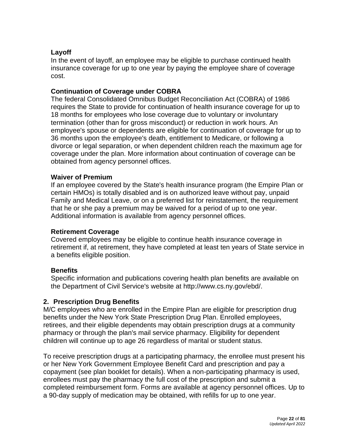# **Layoff**

In the event of layoff, an employee may be eligible to purchase continued health insurance coverage for up to one year by paying the employee share of coverage cost.

### **Continuation of Coverage under COBRA**

The federal Consolidated Omnibus Budget Reconciliation Act (COBRA) of 1986 requires the State to provide for continuation of health insurance coverage for up to 18 months for employees who lose coverage due to voluntary or involuntary termination (other than for gross misconduct) or reduction in work hours. An employee's spouse or dependents are eligible for continuation of coverage for up to 36 months upon the employee's death, entitlement to Medicare, or following a divorce or legal separation, or when dependent children reach the maximum age for coverage under the plan. More information about continuation of coverage can be obtained from agency personnel offices.

#### **Waiver of Premium**

If an employee covered by the State's health insurance program (the Empire Plan or certain HMOs) is totally disabled and is on authorized leave without pay, unpaid Family and Medical Leave, or on a preferred list for reinstatement, the requirement that he or she pay a premium may be waived for a period of up to one year. Additional information is available from agency personnel offices.

### **Retirement Coverage**

Covered employees may be eligible to continue health insurance coverage in retirement if, at retirement, they have completed at least ten years of State service in a benefits eligible position.

### **Benefits**

<span id="page-21-0"></span>Specific information and publications covering health plan benefits are available on the Department of Civil Service's website at [http://www.cs.ny.gov/ebd/.](http://www.cs.ny.gov/ebd/)

### **2. Prescription Drug Benefits**

M/C employees who are enrolled in the Empire Plan are eligible for prescription drug benefits under the New York State Prescription Drug Plan. Enrolled employees, retirees, and their eligible dependents may obtain prescription drugs at a community pharmacy or through the plan's mail service pharmacy. Eligibility for dependent children will continue up to age 26 regardless of marital or student status.

To receive prescription drugs at a participating pharmacy, the enrollee must present his or her New York Government Employee Benefit Card and prescription and pay a copayment (see plan booklet for details). When a non-participating pharmacy is used, enrollees must pay the pharmacy the full cost of the prescription and submit a completed reimbursement form. Forms are available at agency personnel offices. Up to a 90-day supply of medication may be obtained, with refills for up to one year.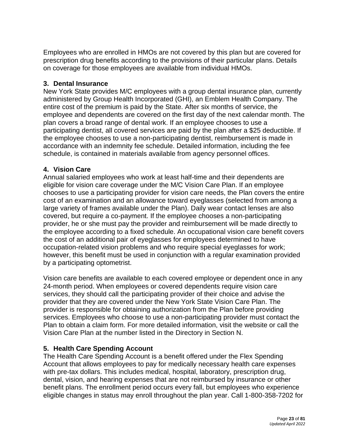Employees who are enrolled in HMOs are not covered by this plan but are covered for prescription drug benefits according to the provisions of their particular plans. Details on coverage for those employees are available from individual HMOs.

### <span id="page-22-0"></span>**3. Dental Insurance**

New York State provides M/C employees with a group dental insurance plan, currently administered by Group Health Incorporated (GHI), an Emblem Health Company. The entire cost of the premium is paid by the State. After six months of service, the employee and dependents are covered on the first day of the next calendar month. The plan covers a broad range of dental work. If an employee chooses to use a participating dentist, all covered services are paid by the plan after a \$25 deductible. If the employee chooses to use a non-participating dentist, reimbursement is made in accordance with an indemnity fee schedule. Detailed information, including the fee schedule, is contained in materials available from agency personnel offices.

# <span id="page-22-1"></span>**4. Vision Care**

Annual salaried employees who work at least half-time and their dependents are eligible for vision care coverage under the M/C Vision Care Plan. If an employee chooses to use a participating provider for vision care needs, the Plan covers the entire cost of an examination and an allowance toward eyeglasses (selected from among a large variety of frames available under the Plan). Daily wear contact lenses are also covered, but require a co-payment. If the employee chooses a non-participating provider, he or she must pay the provider and reimbursement will be made directly to the employee according to a fixed schedule. An occupational vision care benefit covers the cost of an additional pair of eyeglasses for employees determined to have occupation-related vision problems and who require special eyeglasses for work; however, this benefit must be used in conjunction with a regular examination provided by a participating optometrist.

Vision care benefits are available to each covered employee or dependent once in any 24-month period. When employees or covered dependents require vision care services, they should call the participating provider of their choice and advise the provider that they are covered under the New York State Vision Care Plan. The provider is responsible for obtaining authorization from the Plan before providing services. Employees who choose to use a non-participating provider must contact the Plan to obtain a claim form. For more detailed information, visit the website or call the Vision Care Plan at the number listed in the Directory in Section N.

# <span id="page-22-2"></span>**5. Health Care Spending Account**

The Health Care Spending Account is a benefit offered under the Flex Spending Account that allows employees to pay for medically necessary health care expenses with pre-tax dollars. This includes medical, hospital, laboratory, prescription drug, dental, vision, and hearing expenses that are not reimbursed by insurance or other benefit plans. The enrollment period occurs every fall, but employees who experience eligible changes in status may enroll throughout the plan year. Call 1-800-358-7202 for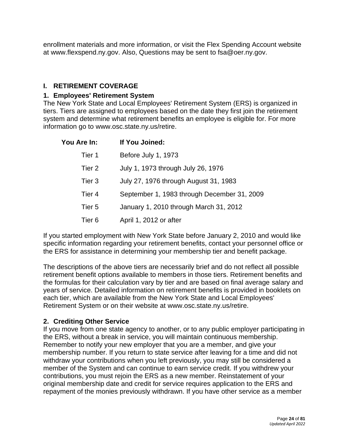enrollment materials and more information, or visit the Flex Spending Account website at [www.flexspend.ny.gov.](http://www.flexspend.ny.gov/) Also, Questions may be sent to [fsa@oer.ny.gov.](mailto:fsa@oer.ny.gov)

# **I. RETIREMENT COVERAGE**

### **1. Employees' Retirement System**

The New York State and Local Employees' Retirement System (ERS) is organized in tiers. Tiers are assigned to employees based on the date they first join the retirement system and determine what retirement benefits an employee is eligible for. For more information go to [www.osc.state.ny.us/retire.](http://www.osc.state.ny.us/retire)

<span id="page-23-0"></span>

| <b>You Are In:</b> | If You Joined:                              |  |
|--------------------|---------------------------------------------|--|
| Tier 1             | Before July 1, 1973                         |  |
| Tier 2             | July 1, 1973 through July 26, 1976          |  |
| Tier 3             | July 27, 1976 through August 31, 1983       |  |
| Tier 4             | September 1, 1983 through December 31, 2009 |  |
| Tier 5             | January 1, 2010 through March 31, 2012      |  |
| Tier 6             | April 1, 2012 or after                      |  |

If you started employment with New York State before January 2, 2010 and would like specific information regarding your retirement benefits, contact your personnel office or the ERS for assistance in determining your membership tier and benefit package.

The descriptions of the above tiers are necessarily brief and do not reflect all possible retirement benefit options available to members in those tiers. Retirement benefits and the formulas for their calculation vary by tier and are based on final average salary and years of service. Detailed information on retirement benefits is provided in booklets on each tier, which are available from the New York State and Local Employees' Retirement System or on their website at [www.osc.state.ny.us/retire.](http://www.osc.state.ny.us/retire)

# <span id="page-23-1"></span>**2. Crediting Other Service**

If you move from one state agency to another, or to any public employer participating in the ERS, without a break in service, you will maintain continuous membership. Remember to notify your new employer that you are a member, and give your membership number. If you return to state service after leaving for a time and did not withdraw your contributions when you left previously, you may still be considered a member of the System and can continue to earn service credit. If you withdrew your contributions, you must rejoin the ERS as a new member. Reinstatement of your original membership date and credit for service requires application to the ERS and repayment of the monies previously withdrawn. If you have other service as a member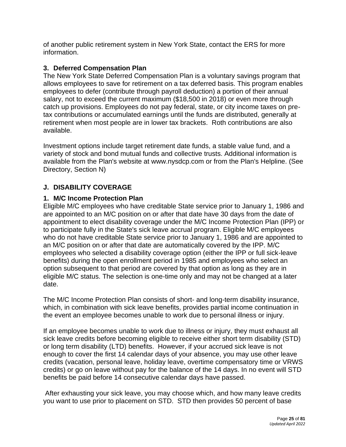of another public retirement system in New York State, contact the ERS for more information.

### <span id="page-24-0"></span>**3. Deferred Compensation Plan**

The New York State Deferred Compensation Plan is a voluntary savings program that allows employees to save for retirement on a tax deferred basis. This program enables employees to defer (contribute through payroll deduction) a portion of their annual salary, not to exceed the current maximum (\$18,500 in 2018) or even more through catch up provisions. Employees do not pay federal, state, or city income taxes on pretax contributions or accumulated earnings until the funds are distributed, generally at retirement when most people are in lower tax brackets. Roth contributions are also available.

Investment options include target retirement date funds, a stable value fund, and a variety of stock and bond mutual funds and collective trusts. Additional information is available from the Plan's website at [www.nysdcp.com](http://www.nysdcp.com/) or from the Plan's Helpline. (See Directory, Section N)

# **J. DISABILITY COVERAGE**

### <span id="page-24-1"></span>**1. M/C Income Protection Plan**

Eligible M/C employees who have creditable State service prior to January 1, 1986 and are appointed to an M/C position on or after that date have 30 days from the date of appointment to elect disability coverage under the M/C Income Protection Plan (IPP) or to participate fully in the State's sick leave accrual program. Eligible M/C employees who do not have creditable State service prior to January 1, 1986 and are appointed to an M/C position on or after that date are automatically covered by the IPP. M/C employees who selected a disability coverage option (either the IPP or full sick-leave benefits) during the open enrollment period in 1985 and employees who select an option subsequent to that period are covered by that option as long as they are in eligible M/C status. The selection is one-time only and may not be changed at a later date.

The M/C Income Protection Plan consists of short- and long-term disability insurance, which, in combination with sick leave benefits, provides partial income continuation in the event an employee becomes unable to work due to personal illness or injury.

If an employee becomes unable to work due to illness or injury, they must exhaust all sick leave credits before becoming eligible to receive either short term disability (STD) or long term disability (LTD) benefits. However, if your accrued sick leave is not enough to cover the first 14 calendar days of your absence, you may use other leave credits (vacation, personal leave, holiday leave, overtime compensatory time or VRWS credits) or go on leave without pay for the balance of the 14 days. In no event will STD benefits be paid before 14 consecutive calendar days have passed.

After exhausting your sick leave, you may choose which, and how many leave credits you want to use prior to placement on STD. STD then provides 50 percent of base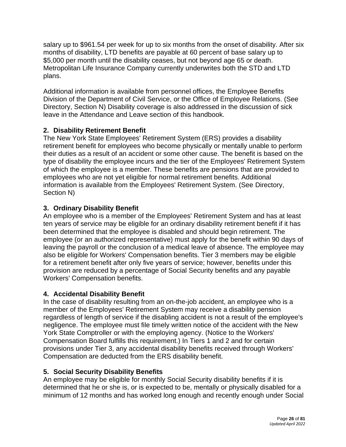salary up to \$961.54 per week for up to six months from the onset of disability. After six months of disability, LTD benefits are payable at 60 percent of base salary up to \$5,000 per month until the disability ceases, but not beyond age 65 or death. Metropolitan Life Insurance Company currently underwrites both the STD and LTD plans.

Additional information is available from personnel offices, the Employee Benefits Division of the Department of Civil Service, or the Office of Employee Relations. (See [Directory,](https://www.goer.ny.gov/Labor_Relations/ManagementConfidential/Handbook/Directry.cfm) Section N) Disability coverage is also addressed in the discussion of sick leave in the [Attendance and Leave](https://www.goer.ny.gov/Labor_Relations/ManagementConfidential/Handbook/atten.cfm) section of this handbook.

# <span id="page-25-0"></span>**2. Disability Retirement Benefit**

The New York State Employees' Retirement System (ERS) provides a disability retirement benefit for employees who become physically or mentally unable to perform their duties as a result of an accident or some other cause. The benefit is based on the type of disability the employee incurs and the tier of the Employees' Retirement System of which the employee is a member. These benefits are pensions that are provided to employees who are not yet eligible for normal retirement benefits. Additional information is available from the Employees' Retirement System. (See [Directory,](https://www.goer.ny.gov/Labor_Relations/ManagementConfidential/Handbook/Directry.cfm) Section N)

# <span id="page-25-1"></span>**3. Ordinary Disability Benefit**

An employee who is a member of the Employees' Retirement System and has at least ten years of service may be eligible for an ordinary disability retirement benefit if it has been determined that the employee is disabled and should begin retirement. The employee (or an authorized representative) must apply for the benefit within 90 days of leaving the payroll or the conclusion of a medical leave of absence. The employee may also be eligible for Workers' Compensation benefits. Tier 3 members may be eligible for a retirement benefit after only five years of service; however, benefits under this provision are reduced by a percentage of Social Security benefits and any payable Workers' Compensation benefits.

# <span id="page-25-2"></span>**4. Accidental Disability Benefit**

In the case of disability resulting from an on-the-job accident, an employee who is a member of the Employees' Retirement System may receive a disability pension regardless of length of service if the disabling accident is not a result of the employee's negligence. The employee must file timely written notice of the accident with the New York State Comptroller or with the employing agency. (Notice to the Workers' Compensation Board fulfills this requirement.) In Tiers 1 and 2 and for certain provisions under Tier 3, any accidental disability benefits received through Workers' Compensation are deducted from the ERS disability benefit.

# <span id="page-25-3"></span>**5. Social Security Disability Benefits**

An employee may be eligible for monthly Social Security disability benefits if it is determined that he or she is, or is expected to be, mentally or physically disabled for a minimum of 12 months and has worked long enough and recently enough under Social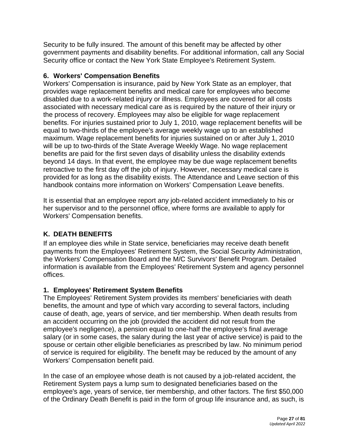Security to be fully insured. The amount of this benefit may be affected by other government payments and disability benefits. For additional information, call any Social Security office or contact the New York State Employee's Retirement System.

# <span id="page-26-0"></span>**6. Workers' Compensation Benefits**

Workers' Compensation is insurance, paid by New York State as an employer, that provides wage replacement benefits and medical care for employees who become disabled due to a work-related injury or illness. Employees are covered for all costs associated with necessary medical care as is required by the nature of their injury or the process of recovery. Employees may also be eligible for wage replacement benefits. For injuries sustained prior to July 1, 2010, wage replacement benefits will be equal to two-thirds of the employee's average weekly wage up to an established maximum. Wage replacement benefits for injuries sustained on or after July 1, 2010 will be up to two-thirds of the State Average Weekly Wage. No wage replacement benefits are paid for the first seven days of disability unless the disability extends beyond 14 days. In that event, the employee may be due wage replacement benefits retroactive to the first day off the job of injury. However, necessary medical care is provided for as long as the disability exists. The [Attendance and Leave](https://www.goer.ny.gov/Labor_Relations/ManagementConfidential/Handbook/atten.cfm) section of this handbook contains more information on Workers' Compensation Leave benefits.

It is essential that an employee report any job-related accident immediately to his or her supervisor and to the personnel office, where forms are available to apply for Workers' Compensation benefits.

# <span id="page-26-1"></span>**K. DEATH BENEFITS**

If an employee dies while in State service, beneficiaries may receive death benefit payments from the Employees' Retirement System, the Social Security Administration, the Workers' Compensation Board and the M/C Survivors' Benefit Program. Detailed information is available from the Employees' Retirement System and agency personnel offices.

# <span id="page-26-2"></span>**1. Employees' Retirement System Benefits**

The Employees' Retirement System provides its members' beneficiaries with death benefits, the amount and type of which vary according to several factors, including cause of death, age, years of service, and tier membership. When death results from an accident occurring on the job (provided the accident did not result from the employee's negligence), a pension equal to one-half the employee's final average salary (or in some cases, the salary during the last year of active service) is paid to the spouse or certain other eligible beneficiaries as prescribed by law. No minimum period of service is required for eligibility. The benefit may be reduced by the amount of any Workers' Compensation benefit paid.

In the case of an employee whose death is not caused by a job-related accident, the Retirement System pays a lump sum to designated beneficiaries based on the employee's age, years of service, tier membership, and other factors. The first \$50,000 of the Ordinary Death Benefit is paid in the form of group life insurance and, as such, is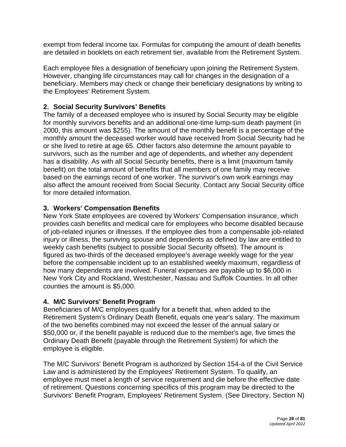exempt from federal income tax. Formulas for computing the amount of death benefits are detailed in booklets on each retirement tier, available from the Retirement System.

Each employee files a designation of beneficiary upon joining the Retirement System. However, changing life circumstances may call for changes in the designation of a beneficiary. Members may check or change their beneficiary designations by writing to the Employees' Retirement System.

# <span id="page-27-0"></span>**2. Social Security Survivors' Benefits**

The family of a deceased employee who is insured by Social Security may be eligible for monthly survivors benefits and an additional one-time lump-sum death payment (in 2000, this amount was \$255). The amount of the monthly benefit is a percentage of the monthly amount the deceased worker would have received from Social Security had he or she lived to retire at age 65. Other factors also determine the amount payable to survivors, such as the number and age of dependents, and whether any dependent has a disability. As with all Social Security benefits, there is a limit (maximum family benefit) on the total amount of benefits that all members of one family may receive based on the earnings record of one worker. The survivor's own work earnings may also affect the amount received from Social Security. Contact any Social Security office for more detailed information.

# <span id="page-27-1"></span>**3. Workers' Compensation Benefits**

New York State employees are covered by Workers' Compensation insurance, which provides cash benefits and medical care for employees who become disabled because of job-related injuries or illnesses. If the employee dies from a compensable job-related injury or illness, the surviving spouse and dependents as defined by law are entitled to weekly cash benefits (subject to possible Social Security offsets). The amount is figured as two-thirds of the deceased employee's average weekly wage for the year before the compensable incident up to an established weekly maximum, regardless of how many dependents are involved. Funeral expenses are payable up to \$6,000 in New York City and Rockland, Westchester, Nassau and Suffolk Counties. In all other counties the amount is \$5,000.

# <span id="page-27-2"></span>**4. M/C Survivors' Benefit Program**

Beneficiaries of M/C employees qualify for a benefit that, when added to the Retirement System's Ordinary Death Benefit, equals one year's salary. The maximum of the two benefits combined may not exceed the lesser of the annual salary or \$50,000 or, if the benefit payable is reduced due to the member's age, five times the Ordinary Death Benefit (payable through the Retirement System) for which the employee is eligible.

The M/C Survivors' Benefit Program is authorized by Section 154-a of the Civil Service Law and is administered by the Employees' Retirement System. To qualify, an employee must meet a length of service requirement and die before the effective date of retirement. Questions concerning specifics of this program may be directed to the Survivors' Benefit Program, Employees' Retirement System. (See Directory, Section N)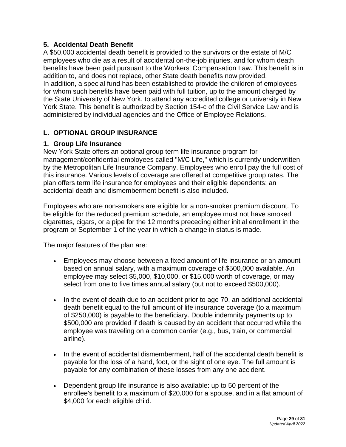### <span id="page-28-0"></span>**5. Accidental Death Benefit**

A \$50,000 accidental death benefit is provided to the survivors or the estate of M/C employees who die as a result of accidental on-the-job injuries, and for whom death benefits have been paid pursuant to the Workers' Compensation Law. This benefit is in addition to, and does not replace, other State death benefits now provided. In addition, a special fund has been established to provide the children of employees for whom such benefits have been paid with full tuition, up to the amount charged by the State University of New York, to attend any accredited college or university in New York State. This benefit is authorized by Section 154-c of the Civil Service Law and is administered by individual agencies and the Office of Employee Relations.

# **L. OPTIONAL GROUP INSURANCE**

### <span id="page-28-1"></span>**1. Group Life Insurance**

New York State offers an optional group term life insurance program for management/confidential employees called "M/C Life," which is currently underwritten by the Metropolitan Life Insurance Company. Employees who enroll pay the full cost of this insurance. Various levels of coverage are offered at competitive group rates. The plan offers term life insurance for employees and their eligible dependents; an accidental death and dismemberment benefit is also included.

Employees who are non-smokers are eligible for a non-smoker premium discount. To be eligible for the reduced premium schedule, an employee must not have smoked cigarettes, cigars, or a pipe for the 12 months preceding either initial enrollment in the program or September 1 of the year in which a change in status is made.

The major features of the plan are:

- Employees may choose between a fixed amount of life insurance or an amount based on annual salary, with a maximum coverage of \$500,000 available. An employee may select \$5,000, \$10,000, or \$15,000 worth of coverage, or may select from one to five times annual salary (but not to exceed \$500,000).
- In the event of death due to an accident prior to age 70, an additional accidental death benefit equal to the full amount of life insurance coverage (to a maximum of \$250,000) is payable to the beneficiary. Double indemnity payments up to \$500,000 are provided if death is caused by an accident that occurred while the employee was traveling on a common carrier (e.g., bus, train, or commercial airline).
- In the event of accidental dismemberment, half of the accidental death benefit is payable for the loss of a hand, foot, or the sight of one eye. The full amount is payable for any combination of these losses from any one accident.
- Dependent group life insurance is also available: up to 50 percent of the enrollee's benefit to a maximum of \$20,000 for a spouse, and in a flat amount of \$4,000 for each eligible child.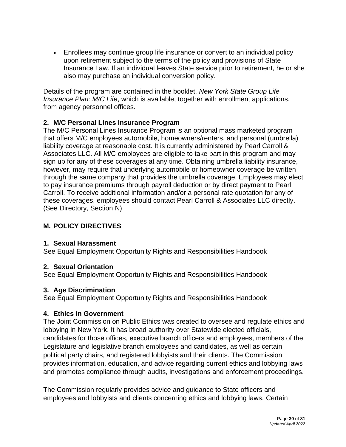• Enrollees may continue group life insurance or convert to an individual policy upon retirement subject to the terms of the policy and provisions of State Insurance Law. If an individual leaves State service prior to retirement, he or she also may purchase an individual conversion policy.

Details of the program are contained in the booklet, *New York State Group Life Insurance Plan: M/C Life*, which is available, together with enrollment applications, from agency personnel offices.

# <span id="page-29-0"></span>**2. M/C Personal Lines Insurance Program**

The M/C Personal Lines Insurance Program is an optional mass marketed program that offers M/C employees automobile, homeowners/renters, and personal (umbrella) liability coverage at reasonable cost. It is currently administered by Pearl Carroll & Associates LLC. All M/C employees are eligible to take part in this program and may sign up for any of these coverages at any time. Obtaining umbrella liability insurance, however, may require that underlying automobile or homeowner coverage be written through the same company that provides the umbrella coverage. Employees may elect to pay insurance premiums through payroll deduction or by direct payment to Pearl Carroll. To receive additional information and/or a personal rate quotation for any of these coverages, employees should contact Pearl Carroll & Associates LLC directly. (See [Directory,](https://www.goer.ny.gov/Labor_Relations/ManagementConfidential/Handbook/Directry.cfm) Section N)

# **M. POLICY DIRECTIVES**

# <span id="page-29-2"></span>**1. Sexual Harassment**

[See Equal Employment Opportunity Rights and Responsibilities Handbook](http://www.goer.ny.gov/Employee_Resources/employee_handbook/2011Employee_Handbook.pdf)

# **2. Sexual Orientation**

<span id="page-29-3"></span>[See Equal Employment Opportunity Rights and Responsibilities Handbook](http://www.goer.ny.gov/Employee_Resources/employee_handbook/2011Employee_Handbook.pdf)

# <span id="page-29-4"></span>**3. Age Discrimination**

[See Equal Employment Opportunity Rights and Responsibilities Handbook](http://www.goer.ny.gov/Employee_Resources/employee_handbook/2011Employee_Handbook.pdf)

# <span id="page-29-1"></span>**4. Ethics in Government**

The Joint Commission on Public Ethics was created to oversee and regulate ethics and lobbying in New York. It has broad authority over Statewide elected officials, candidates for those offices, executive branch officers and employees, members of the Legislature and legislative branch employees and candidates, as well as certain political party chairs, and registered lobbyists and their clients. The Commission provides information, education, and advice regarding current ethics and lobbying laws and promotes compliance through audits, investigations and enforcement proceedings.

The Commission regularly provides advice and guidance to State officers and employees and lobbyists and clients concerning ethics and lobbying laws. Certain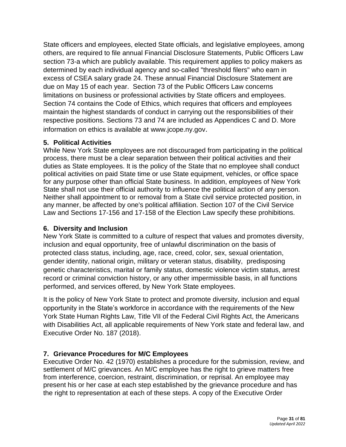State officers and employees, elected State officials, and legislative employees, among others, are required to file annual Financial Disclosure Statements, Public Officers Law section 73-a which are publicly available. This requirement applies to policy makers as determined by each individual agency and so-called "threshold filers" who earn in excess of CSEA salary grade 24. These annual Financial Disclosure Statement are due on May 15 of each year. Section 73 of the Public Officers Law concerns limitations on business or professional activities by State officers and employees. Section 74 contains the Code of Ethics, which requires that officers and employees maintain the highest standards of conduct in carrying out the responsibilities of their respective positions. Sections 73 and 74 are included as Appendices C and D. More information on ethics is available at [www.jcope.ny.gov](http://www.jcope.ny.gov/).

# <span id="page-30-0"></span>**5. Political Activities**

While New York State employees are not discouraged from participating in the political process, there must be a clear separation between their political activities and their duties as State employees. It is the policy of the State that no employee shall conduct political activities on paid State time or use State equipment, vehicles, or office space for any purpose other than official State business. In addition, employees of New York State shall not use their official authority to influence the political action of any person. Neither shall appointment to or removal from a State civil service protected position, in any manner, be affected by one's political affiliation. Section 107 of the Civil Service Law and Sections 17-156 and 17-158 of the Election Law specify these prohibitions.

# <span id="page-30-1"></span>**6. Diversity and Inclusion**

New York State is committed to a culture of respect that values and promotes diversity, inclusion and equal opportunity, free of unlawful discrimination on the basis of protected class status, including, age, race, creed, color, sex, sexual orientation, gender identity, national origin, military or veteran status, disability, predisposing genetic characteristics, marital or family status, domestic violence victim status, arrest record or criminal conviction history, or any other impermissible basis, in all functions performed, and services offered, by New York State employees.

It is the policy of New York State to protect and promote diversity, inclusion and equal opportunity in the State's workforce in accordance with the requirements of the New York State Human Rights Law, Title VII of the Federal Civil Rights Act, the Americans with Disabilities Act, all applicable requirements of New York state and federal law, and Executive Order No. 187 (2018).

# <span id="page-30-2"></span>**7. Grievance Procedures for M/C Employees**

Executive Order No. 42 (1970) establishes a procedure for the submission, review, and settlement of M/C grievances. An M/C employee has the right to grieve matters free from interference, coercion, restraint, discrimination, or reprisal. An employee may present his or her case at each step established by the grievance procedure and has the right to representation at each of these steps. A copy of the Executive Order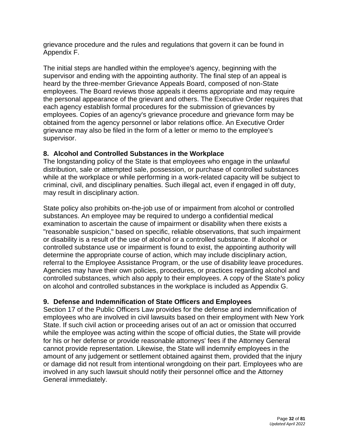grievance procedure and the rules and regulations that govern it can be found in Appendix F.

The initial steps are handled within the employee's agency, beginning with the supervisor and ending with the appointing authority. The final step of an appeal is heard by the three-member Grievance Appeals Board, composed of non-State employees. The Board reviews those appeals it deems appropriate and may require the personal appearance of the grievant and others. The Executive Order requires that each agency establish formal procedures for the submission of grievances by employees. Copies of an agency's grievance procedure and grievance form may be obtained from the agency personnel or labor relations office. An Executive Order grievance may also be filed in the form of a letter or memo to the employee's supervisor.

# **8. Alcohol and Controlled Substances in the Workplace**

<span id="page-31-0"></span>The longstanding policy of the State is that employees who engage in the unlawful distribution, sale or attempted sale, possession, or purchase of controlled substances while at the workplace or while performing in a work-related capacity will be subject to criminal, civil, and disciplinary penalties. Such illegal act, even if engaged in off duty, may result in disciplinary action.

State policy also prohibits on-the-job use of or impairment from alcohol or controlled substances. An employee may be required to undergo a confidential medical examination to ascertain the cause of impairment or disability when there exists a "reasonable suspicion," based on specific, reliable observations, that such impairment or disability is a result of the use of alcohol or a controlled substance. If alcohol or controlled substance use or impairment is found to exist, the appointing authority will determine the appropriate course of action, which may include disciplinary action, referral to the Employee Assistance Program, or the use of disability leave procedures. Agencies may have their own policies, procedures, or practices regarding alcohol and controlled substances, which also apply to their employees. A copy of the State's policy on alcohol and controlled substances in the workplace is included as Appendix G.

# <span id="page-31-1"></span>**9. Defense and Indemnification of State Officers and Employees**

Section 17 of the Public Officers Law provides for the defense and indemnification of employees who are involved in civil lawsuits based on their employment with New York State. If such civil action or proceeding arises out of an act or omission that occurred while the employee was acting within the scope of official duties, the State will provide for his or her defense or provide reasonable attorneys' fees if the Attorney General cannot provide representation. Likewise, the State will indemnify employees in the amount of any judgement or settlement obtained against them, provided that the injury or damage did not result from intentional wrongdoing on their part. Employees who are involved in any such lawsuit should notify their personnel office and the Attorney General immediately.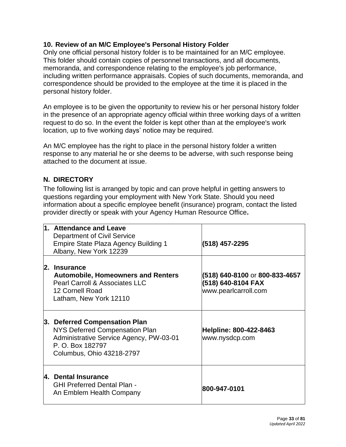# <span id="page-32-0"></span>**10. Review of an M/C Employee's Personal History Folder**

Only one official personal history folder is to be maintained for an M/C employee. This folder should contain copies of personnel transactions, and all documents, memoranda, and correspondence relating to the employee's job performance, including written performance appraisals. Copies of such documents, memoranda, and correspondence should be provided to the employee at the time it is placed in the personal history folder.

An employee is to be given the opportunity to review his or her personal history folder in the presence of an appropriate agency official within three working days of a written request to do so. In the event the folder is kept other than at the employee's work location, up to five working days' notice may be required.

An M/C employee has the right to place in the personal history folder a written response to any material he or she deems to be adverse, with such response being attached to the document at issue.

# <span id="page-32-1"></span>**N. DIRECTORY**

The following list is arranged by topic and can prove helpful in getting answers to questions regarding your employment with New York State. Should you need information about a specific employee benefit (insurance) program, contact the listed provider directly or speak with your Agency Human Resource Office**.**

<span id="page-32-5"></span><span id="page-32-4"></span><span id="page-32-3"></span><span id="page-32-2"></span>

| 1. Attendance and Leave<br>Department of Civil Service<br><b>Empire State Plaza Agency Building 1</b><br>Albany, New York 12239                             | (518) 457-2295                                                               |
|-------------------------------------------------------------------------------------------------------------------------------------------------------------|------------------------------------------------------------------------------|
| 2. Insurance<br><b>Automobile, Homeowners and Renters</b><br><b>Pearl Carroll &amp; Associates LLC</b><br>12 Cornell Road<br>Latham, New York 12110         | (518) 640-8100 or 800-833-4657<br>(518) 640-8104 FAX<br>www.pearlcarroll.com |
| 3. Deferred Compensation Plan<br>NYS Deferred Compensation Plan<br>Administrative Service Agency, PW-03-01<br>P. O. Box 182797<br>Columbus, Ohio 43218-2797 | Helpline: 800-422-8463<br>www.nysdcp.com                                     |
| 4. Dental Insurance<br><b>GHI Preferred Dental Plan -</b><br>An Emblem Health Company                                                                       | 800-947-0101                                                                 |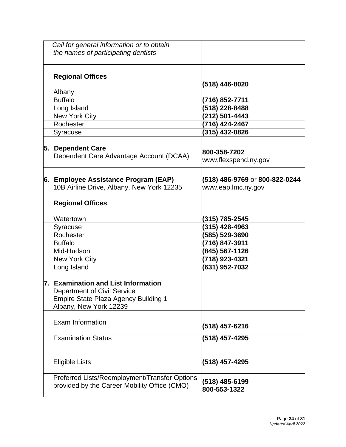<span id="page-33-2"></span><span id="page-33-1"></span><span id="page-33-0"></span>

| Call for general information or to obtain                                                                                                          |                                                      |
|----------------------------------------------------------------------------------------------------------------------------------------------------|------------------------------------------------------|
| the names of participating dentists                                                                                                                |                                                      |
|                                                                                                                                                    |                                                      |
| <b>Regional Offices</b>                                                                                                                            | (518) 446-8020                                       |
| Albany                                                                                                                                             |                                                      |
| <b>Buffalo</b>                                                                                                                                     | (716) 852-7711                                       |
| Long Island                                                                                                                                        | (518) 228-8488                                       |
| <b>New York City</b>                                                                                                                               | (212) 501-4443                                       |
| Rochester                                                                                                                                          | (716) 424-2467                                       |
| Syracuse                                                                                                                                           | (315) 432-0826                                       |
| 5. Dependent Care<br>Dependent Care Advantage Account (DCAA)                                                                                       | 800-358-7202                                         |
|                                                                                                                                                    | www.flexspend.ny.gov                                 |
| 6. Employee Assistance Program (EAP)<br>10B Airline Drive, Albany, New York 12235                                                                  | (518) 486-9769 or 800-822-0244<br>www.eap.lmc.ny.gov |
| <b>Regional Offices</b>                                                                                                                            |                                                      |
| Watertown                                                                                                                                          | (315) 785-2545                                       |
| Syracuse                                                                                                                                           | (315) 428-4963                                       |
| Rochester                                                                                                                                          | (585) 529-3690                                       |
| <b>Buffalo</b>                                                                                                                                     | (716) 847-3911                                       |
| Mid-Hudson                                                                                                                                         | (845) 567-1126                                       |
| <b>New York City</b>                                                                                                                               | (718) 923-4321                                       |
| Long Island                                                                                                                                        | (631) 952-7032                                       |
| 7. Examination and List Information<br><b>Department of Civil Service</b><br><b>Empire State Plaza Agency Building 1</b><br>Albany, New York 12239 |                                                      |
| Exam Information                                                                                                                                   | (518) 457-6216                                       |
| <b>Examination Status</b>                                                                                                                          | (518) 457-4295                                       |
| <b>Eligible Lists</b>                                                                                                                              | (518) 457-4295                                       |
| Preferred Lists/Reemployment/Transfer Options<br>provided by the Career Mobility Office (CMO)                                                      | (518) 485-6199<br>800-553-1322                       |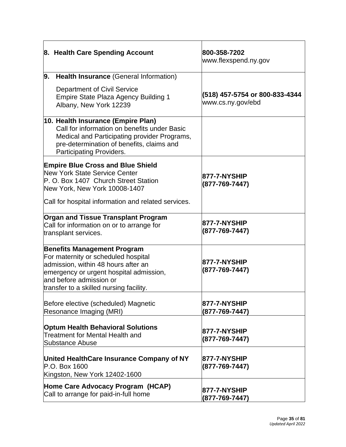<span id="page-34-2"></span><span id="page-34-1"></span><span id="page-34-0"></span>

| 8. Health Care Spending Account                                                                                                                                                                                                   | 800-358-7202<br>www.flexspend.ny.gov                |
|-----------------------------------------------------------------------------------------------------------------------------------------------------------------------------------------------------------------------------------|-----------------------------------------------------|
| Health Insurance (General Information)<br>9.<br>Department of Civil Service<br><b>Empire State Plaza Agency Building 1</b><br>Albany, New York 12239                                                                              | (518) 457-5754 or 800-833-4344<br>www.cs.ny.gov/ebd |
| 10. Health Insurance (Empire Plan)<br>Call for information on benefits under Basic<br>Medical and Participating provider Programs,<br>pre-determination of benefits, claims and<br><b>Participating Providers.</b>                |                                                     |
| <b>Empire Blue Cross and Blue Shield</b><br>New York State Service Center<br>P. O. Box 1407 Church Street Station<br>New York, New York 10008-1407<br>Call for hospital information and related services.                         | <b>877-7-NYSHIP</b><br>$(877 - 769 - 7447)$         |
| <b>Organ and Tissue Transplant Program</b><br>Call for information on or to arrange for<br>transplant services.                                                                                                                   | <b>877-7-NYSHIP</b><br>$(877 - 769 - 7447)$         |
| <b>Benefits Management Program</b><br>For maternity or scheduled hospital<br>admission, within 48 hours after an<br>emergency or urgent hospital admission,<br>and before admission or<br>transfer to a skilled nursing facility. | <b>877-7-NYSHIP</b><br>(877-769-7447)               |
| Before elective (scheduled) Magnetic<br>Resonance Imaging (MRI)                                                                                                                                                                   | <b>877-7-NYSHIP</b><br>(877-769-7447)               |
| <b>Optum Health Behavioral Solutions</b><br><b>Treatment for Mental Health and</b><br><b>Substance Abuse</b>                                                                                                                      | 877-7-NYSHIP<br>$(877 - 769 - 7447)$                |
| United HealthCare Insurance Company of NY<br>P.O. Box 1600<br>Kingston, New York 12402-1600                                                                                                                                       | 877-7-NYSHIP<br>$(877 - 769 - 7447)$                |
| Home Care Advocacy Program (HCAP)<br>Call to arrange for paid-in-full home                                                                                                                                                        | 877-7-NYSHIP<br>(877-769-7447)                      |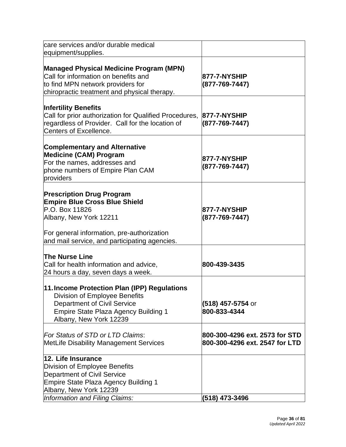<span id="page-35-0"></span>

| care services and/or durable medical<br>equipment/supplies.                                                                                                                                                         |                                                                  |
|---------------------------------------------------------------------------------------------------------------------------------------------------------------------------------------------------------------------|------------------------------------------------------------------|
| <b>Managed Physical Medicine Program (MPN)</b><br>Call for information on benefits and<br>to find MPN network providers for<br>chiropractic treatment and physical therapy.                                         | 877-7-NYSHIP<br>(877-769-7447)                                   |
| <b>Infertility Benefits</b><br>Call for prior authorization for Qualified Procedures,<br>regardless of Provider. Call for the location of<br><b>Centers of Excellence.</b>                                          | 877-7-NYSHIP<br>$(877 - 769 - 7447)$                             |
| <b>Complementary and Alternative</b><br><b>Medicine (CAM) Program</b><br>For the names, addresses and<br>phone numbers of Empire Plan CAM<br>providers                                                              | 877-7-NYSHIP<br>(877-769-7447)                                   |
| <b>Prescription Drug Program</b><br><b>Empire Blue Cross Blue Shield</b><br>P.O. Box 11826<br>Albany, New York 12211<br>For general information, pre-authorization<br>and mail service, and participating agencies. | 877-7-NYSHIP<br>(877-769-7447)                                   |
| <b>The Nurse Line</b><br>Call for health information and advice,<br>24 hours a day, seven days a week.                                                                                                              | 800-439-3435                                                     |
| 11. Income Protection Plan (IPP) Regulations<br><b>Division of Employee Benefits</b><br><b>Department of Civil Service</b><br>Empire State Plaza Agency Building 1<br>Albany, New York 12239                        | (518) 457-5754 or<br>800-833-4344                                |
| For Status of STD or LTD Claims:<br><b>MetLife Disability Management Services</b>                                                                                                                                   | 800-300-4296 ext. 2573 for STD<br>800-300-4296 ext. 2547 for LTD |
| 12. Life Insurance<br>Division of Employee Benefits<br><b>Department of Civil Service</b><br>Empire State Plaza Agency Building 1<br>Albany, New York 12239<br>Information and Filing Claims:                       | (518) 473-3496                                                   |
|                                                                                                                                                                                                                     |                                                                  |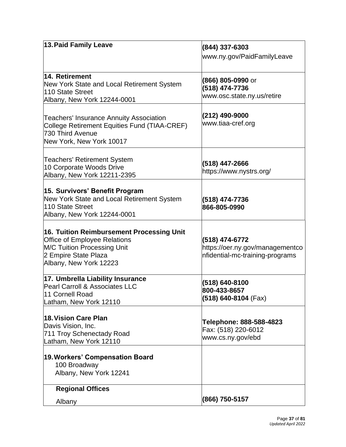| 13. Paid Family Leave                                                        | (844) 337-6303                      |
|------------------------------------------------------------------------------|-------------------------------------|
|                                                                              | www.ny.gov/PaidFamilyLeave          |
|                                                                              |                                     |
| 14. Retirement                                                               |                                     |
| New York State and Local Retirement System                                   | <b>(866) 805-0990</b> or            |
| 110 State Street                                                             | (518) 474-7736                      |
| Albany, New York 12244-0001                                                  | www.osc.state.ny.us/retire          |
|                                                                              |                                     |
| <b>Teachers' Insurance Annuity Association</b>                               | (212) 490-9000<br>www.tiaa-cref.org |
| College Retirement Equities Fund (TIAA-CREF)                                 |                                     |
| 730 Third Avenue                                                             |                                     |
| New York, New York 10017                                                     |                                     |
| <b>Teachers' Retirement System</b>                                           |                                     |
| 10 Corporate Woods Drive                                                     | (518) 447-2666                      |
| Albany, New York 12211-2395                                                  | https://www.nystrs.org/             |
|                                                                              |                                     |
| 15. Survivors' Benefit Program<br>New York State and Local Retirement System |                                     |
| 110 State Street                                                             | (518) 474-7736<br>866-805-0990      |
| Albany, New York 12244-0001                                                  |                                     |
|                                                                              |                                     |
| 16. Tuition Reimbursement Processing Unit                                    |                                     |
| <b>Office of Employee Relations</b>                                          | (518) 474-6772                      |
| M/C Tuition Processing Unit                                                  | https://oer.ny.gov/managementco     |
| 2 Empire State Plaza                                                         | nfidential-mc-training-programs     |
| Albany, New York 12223                                                       |                                     |
| 17. Umbrella Liability Insurance                                             |                                     |
| Pearl Carroll & Associates LLC                                               | (518) 640-8100                      |
| 11 Cornell Road                                                              | 800-433-8657                        |
| Latham, New York 12110                                                       | $(518)$ 640-8104 (Fax)              |
| 18. Vision Care Plan                                                         |                                     |
| Davis Vision, Inc.                                                           | Telephone: 888-588-4823             |
| 711 Troy Schenectady Road                                                    | Fax: (518) 220-6012                 |
| Latham, New York 12110                                                       | www.cs.ny.gov/ebd                   |
|                                                                              |                                     |
| 19. Workers' Compensation Board                                              |                                     |
| 100 Broadway<br>Albany, New York 12241                                       |                                     |
|                                                                              |                                     |
| <b>Regional Offices</b>                                                      |                                     |
| Albany                                                                       | (866) 750-5157                      |
|                                                                              |                                     |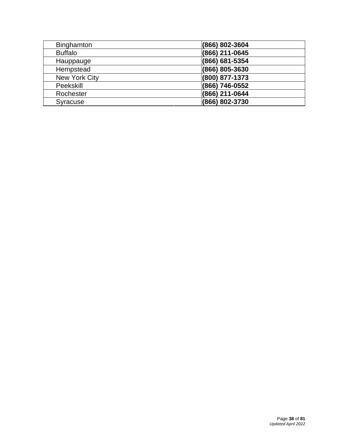| <b>Binghamton</b> | (866) 802-3604 |
|-------------------|----------------|
| <b>Buffalo</b>    | (866) 211-0645 |
| Hauppauge         | (866) 681-5354 |
| Hempstead         | (866) 805-3630 |
| New York City     | (800) 877-1373 |
| Peekskill         | (866) 746-0552 |
| Rochester         | (866) 211-0644 |
| <b>Syracuse</b>   | (866) 802-3730 |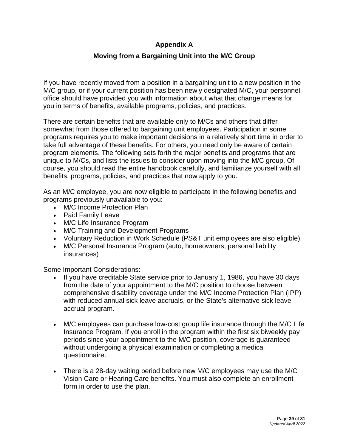# **Appendix A**

# **Moving from a Bargaining Unit into the M/C Group**

If you have recently moved from a position in a bargaining unit to a new position in the M/C group, or if your current position has been newly designated M/C, your personnel office should have provided you with information about what that change means for you in terms of benefits, available programs, policies, and practices.

There are certain benefits that are available only to M/Cs and others that differ somewhat from those offered to bargaining unit employees. Participation in some programs requires you to make important decisions in a relatively short time in order to take full advantage of these benefits. For others, you need only be aware of certain program elements. The following sets forth the major benefits and programs that are unique to M/Cs, and lists the issues to consider upon moving into the M/C group. Of course, you should read the entire handbook carefully, and familiarize yourself with all benefits, programs, policies, and practices that now apply to you.

As an M/C employee, you are now eligible to participate in the following benefits and programs previously unavailable to you:

- M/C Income Protection Plan
- Paid Family Leave
- M/C Life Insurance Program
- M/C Training and Development Programs
- Voluntary Reduction in Work Schedule (PS&T unit employees are also eligible)
- M/C Personal Insurance Program (auto, homeowners, personal liability insurances)

Some Important Considerations:

- If you have creditable State service prior to January 1, 1986, you have 30 days from the date of your appointment to the M/C position to choose between comprehensive disability coverage under the M/C Income Protection Plan (IPP) with reduced annual sick leave accruals, or the State's alternative sick leave accrual program.
- M/C employees can purchase low-cost group life insurance through the M/C Life Insurance Program. If you enroll in the program within the first six biweekly pay periods since your appointment to the M/C position, coverage is guaranteed without undergoing a physical examination or completing a medical questionnaire.
- There is a 28-day waiting period before new M/C employees may use the M/C Vision Care or Hearing Care benefits. You must also complete an enrollment form in order to use the plan.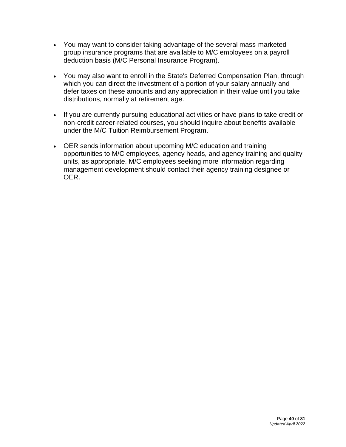- You may want to consider taking advantage of the several mass-marketed group insurance programs that are available to M/C employees on a payroll deduction basis (M/C Personal Insurance Program).
- You may also want to enroll in the State's Deferred Compensation Plan, through which you can direct the investment of a portion of your salary annually and defer taxes on these amounts and any appreciation in their value until you take distributions, normally at retirement age.
- If you are currently pursuing educational activities or have plans to take credit or non-credit career-related courses, you should inquire about benefits available under the M/C Tuition Reimbursement Program.
- OER sends information about upcoming M/C education and training opportunities to M/C employees, agency heads, and agency training and quality units, as appropriate. M/C employees seeking more information regarding management development should contact their agency training designee or OER.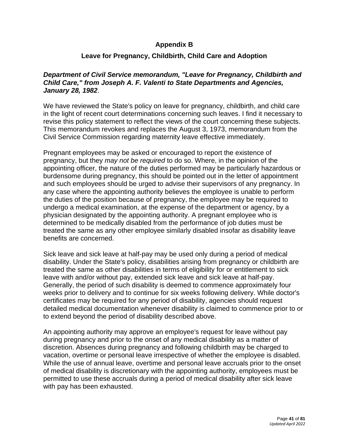## **Appendix B**

# **Leave for Pregnancy, Childbirth, Child Care and Adoption**

## *Department of Civil Service memorandum, "Leave for Pregnancy, Childbirth and Child Care," from Joseph A. F. Valenti to State Departments and Agencies, January 28, 1982*.

We have reviewed the State's policy on leave for pregnancy, childbirth, and child care in the light of recent court determinations concerning such leaves. I find it necessary to revise this policy statement to reflect the views of the court concerning these subjects. This memorandum revokes and replaces the August 3, 1973, memorandum from the Civil Service Commission regarding maternity leave effective immediately.

Pregnant employees may be asked or encouraged to report the existence of pregnancy, but they *may not be required* to do so. Where, in the opinion of the appointing officer, the nature of the duties performed may be particularly hazardous or burdensome during pregnancy, this should be pointed out in the letter of appointment and such employees should be urged to advise their supervisors of any pregnancy. In any case where the appointing authority believes the employee is unable to perform the duties of the position because of pregnancy, the employee may be required to undergo a medical examination, at the expense of the department or agency, by a physician designated by the appointing authority. A pregnant employee who is determined to be medically disabled from the performance of job duties must be treated the same as any other employee similarly disabled insofar as disability leave benefits are concerned.

Sick leave and sick leave at half-pay may be used only during a period of medical disability. Under the State's policy, disabilities arising from pregnancy or childbirth are treated the same as other disabilities in terms of eligibility for or entitlement to sick leave with and/or without pay, extended sick leave and sick leave at half-pay. Generally, the period of such disability is deemed to commence approximately four weeks prior to delivery and to continue for six weeks following delivery. While doctor's certificates may be required for any period of disability, agencies should request detailed medical documentation whenever disability is claimed to commence prior to or to extend beyond the period of disability described above.

An appointing authority may approve an employee's request for leave without pay during pregnancy and prior to the onset of any medical disability as a matter of discretion. Absences during pregnancy and following childbirth may be charged to vacation, overtime or personal leave irrespective of whether the employee is disabled. While the use of annual leave, overtime and personal leave accruals prior to the onset of medical disability is discretionary with the appointing authority, employees must be permitted to use these accruals during a period of medical disability after sick leave with pay has been exhausted.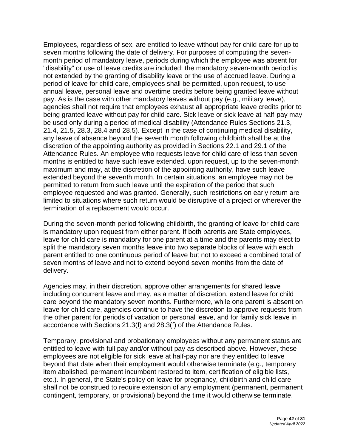Employees, regardless of sex, are entitled to leave without pay for child care for up to seven months following the date of delivery. For purposes of computing the sevenmonth period of mandatory leave, periods during which the employee was absent for "disability" or use of leave credits are included; the mandatory seven-month period is not extended by the granting of disability leave or the use of accrued leave. During a period of leave for child care, employees shall be permitted, upon request, to use annual leave, personal leave and overtime credits before being granted leave without pay. As is the case with other mandatory leaves without pay (e.g., military leave), agencies shall not require that employees exhaust all appropriate leave credits prior to being granted leave without pay for child care. Sick leave or sick leave at half-pay may be used only during a period of medical disability (Attendance Rules Sections 21.3, 21.4, 21.5, 28.3, 28.4 and 28.5). Except in the case of continuing medical disability, any leave of absence beyond the seventh month following childbirth shall be at the discretion of the appointing authority as provided in Sections 22.1 and 29.1 of the Attendance Rules. An employee who requests leave for child care of less than seven months is entitled to have such leave extended, upon request, up to the seven-month maximum and may, at the discretion of the appointing authority, have such leave extended beyond the seventh month. In certain situations, an employee may not be permitted to return from such leave until the expiration of the period that such employee requested and was granted. Generally, such restrictions on early return are limited to situations where such return would be disruptive of a project or wherever the termination of a replacement would occur.

During the seven-month period following childbirth, the granting of leave for child care is mandatory upon request from either parent. If both parents are State employees, leave for child care is mandatory for one parent at a time and the parents may elect to split the mandatory seven months leave into two separate blocks of leave with each parent entitled to one continuous period of leave but not to exceed a combined total of seven months of leave and not to extend beyond seven months from the date of delivery.

Agencies may, in their discretion, approve other arrangements for shared leave including concurrent leave and may, as a matter of discretion, extend leave for child care beyond the mandatory seven months. Furthermore, while one parent is absent on leave for child care, agencies continue to have the discretion to approve requests from the other parent for periods of vacation or personal leave, and for family sick leave in accordance with Sections 21.3(f) and 28.3(f) of the Attendance Rules.

Temporary, provisional and probationary employees without any permanent status are entitled to leave with full pay and/or without pay as described above. However, these employees are not eligible for sick leave at half-pay nor are they entitled to leave beyond that date when their employment would otherwise terminate (e.g., temporary item abolished, permanent incumbent restored to item, certification of eligible lists, etc.). In general, the State's policy on leave for pregnancy, childbirth and child care shall not be construed to require extension of any employment (permanent, permanent contingent, temporary, or provisional) beyond the time it would otherwise terminate.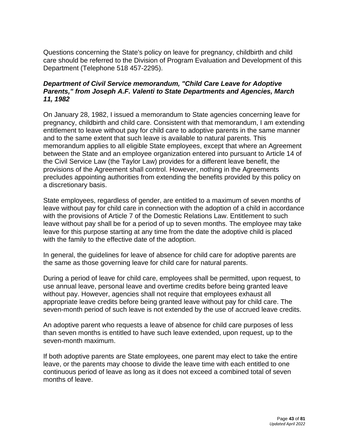Questions concerning the State's policy on leave for pregnancy, childbirth and child care should be referred to the Division of Program Evaluation and Development of this Department (Telephone 518 457-2295).

## *Department of Civil Service memorandum, "Child Care Leave for Adoptive Parents," from Joseph A.F. Valenti to State Departments and Agencies, March 11, 1982*

On January 28, 1982, I issued a memorandum to State agencies concerning leave for pregnancy, childbirth and child care. Consistent with that memorandum, I am extending entitlement to leave without pay for child care to adoptive parents in the same manner and to the same extent that such leave is available to natural parents. This memorandum applies to all eligible State employees, except that where an Agreement between the State and an employee organization entered into pursuant to Article 14 of the Civil Service Law (the Taylor Law) provides for a different leave benefit, the provisions of the Agreement shall control. However, nothing in the Agreements precludes appointing authorities from extending the benefits provided by this policy on a discretionary basis.

State employees, regardless of gender, are entitled to a maximum of seven months of leave without pay for child care in connection with the adoption of a child in accordance with the provisions of Article 7 of the Domestic Relations Law. Entitlement to such leave without pay shall be for a period of up to seven months. The employee may take leave for this purpose starting at any time from the date the adoptive child is placed with the family to the effective date of the adoption.

In general, the guidelines for leave of absence for child care for adoptive parents are the same as those governing leave for child care for natural parents.

During a period of leave for child care, employees shall be permitted, upon request, to use annual leave, personal leave and overtime credits before being granted leave without pay. However, agencies shall not require that employees exhaust all appropriate leave credits before being granted leave without pay for child care. The seven-month period of such leave is not extended by the use of accrued leave credits.

An adoptive parent who requests a leave of absence for child care purposes of less than seven months is entitled to have such leave extended, upon request, up to the seven-month maximum.

If both adoptive parents are State employees, one parent may elect to take the entire leave, or the parents may choose to divide the leave time with each entitled to one continuous period of leave as long as it does not exceed a combined total of seven months of leave.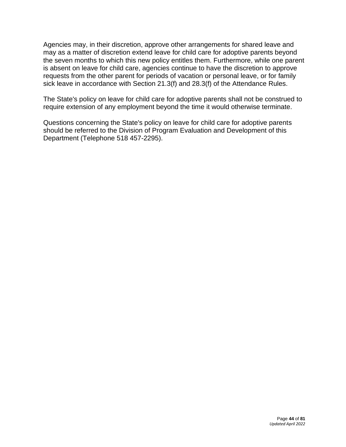Agencies may, in their discretion, approve other arrangements for shared leave and may as a matter of discretion extend leave for child care for adoptive parents beyond the seven months to which this new policy entitles them. Furthermore, while one parent is absent on leave for child care, agencies continue to have the discretion to approve requests from the other parent for periods of vacation or personal leave, or for family sick leave in accordance with Section 21.3(f) and 28.3(f) of the Attendance Rules.

The State's policy on leave for child care for adoptive parents shall not be construed to require extension of any employment beyond the time it would otherwise terminate.

Questions concerning the State's policy on leave for child care for adoptive parents should be referred to the Division of Program Evaluation and Development of this Department (Telephone 518 457-2295).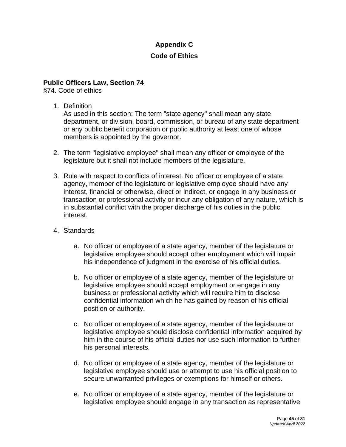# **Appendix C**

## **Code of Ethics**

## **Public Officers Law, Section 74**

§74. Code of ethics

1. Definition

As used in this section: The term "state agency" shall mean any state department, or division, board, commission, or bureau of any state department or any public benefit corporation or public authority at least one of whose members is appointed by the governor.

- 2. The term "legislative employee" shall mean any officer or employee of the legislature but it shall not include members of the legislature.
- 3. Rule with respect to conflicts of interest. No officer or employee of a state agency, member of the legislature or legislative employee should have any interest, financial or otherwise, direct or indirect, or engage in any business or transaction or professional activity or incur any obligation of any nature, which is in substantial conflict with the proper discharge of his duties in the public interest.
- 4. Standards
	- a. No officer or employee of a state agency, member of the legislature or legislative employee should accept other employment which will impair his independence of judgment in the exercise of his official duties.
	- b. No officer or employee of a state agency, member of the legislature or legislative employee should accept employment or engage in any business or professional activity which will require him to disclose confidential information which he has gained by reason of his official position or authority.
	- c. No officer or employee of a state agency, member of the legislature or legislative employee should disclose confidential information acquired by him in the course of his official duties nor use such information to further his personal interests.
	- d. No officer or employee of a state agency, member of the legislature or legislative employee should use or attempt to use his official position to secure unwarranted privileges or exemptions for himself or others.
	- e. No officer or employee of a state agency, member of the legislature or legislative employee should engage in any transaction as representative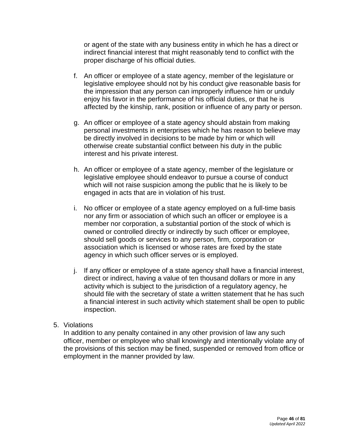or agent of the state with any business entity in which he has a direct or indirect financial interest that might reasonably tend to conflict with the proper discharge of his official duties.

- f. An officer or employee of a state agency, member of the legislature or legislative employee should not by his conduct give reasonable basis for the impression that any person can improperly influence him or unduly enjoy his favor in the performance of his official duties, or that he is affected by the kinship, rank, position or influence of any party or person.
- g. An officer or employee of a state agency should abstain from making personal investments in enterprises which he has reason to believe may be directly involved in decisions to be made by him or which will otherwise create substantial conflict between his duty in the public interest and his private interest.
- h. An officer or employee of a state agency, member of the legislature or legislative employee should endeavor to pursue a course of conduct which will not raise suspicion among the public that he is likely to be engaged in acts that are in violation of his trust.
- i. No officer or employee of a state agency employed on a full-time basis nor any firm or association of which such an officer or employee is a member nor corporation, a substantial portion of the stock of which is owned or controlled directly or indirectly by such officer or employee, should sell goods or services to any person, firm, corporation or association which is licensed or whose rates are fixed by the state agency in which such officer serves or is employed.
- j. If any officer or employee of a state agency shall have a financial interest, direct or indirect, having a value of ten thousand dollars or more in any activity which is subject to the jurisdiction of a regulatory agency, he should file with the secretary of state a written statement that he has such a financial interest in such activity which statement shall be open to public inspection.

### 5. Violations

In addition to any penalty contained in any other provision of law any such officer, member or employee who shall knowingly and intentionally violate any of the provisions of this section may be fined, suspended or removed from office or employment in the manner provided by law.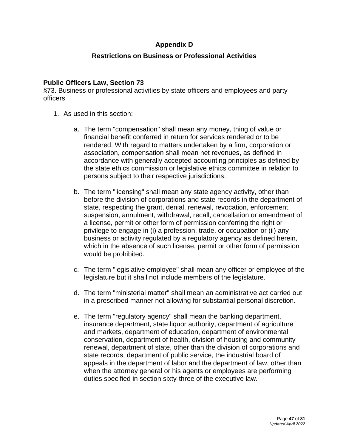# **Appendix D**

## **Restrictions on Business or Professional Activities**

### **Public Officers Law, Section 73**

§73. Business or professional activities by state officers and employees and party officers

- 1. As used in this section:
	- a. The term "compensation" shall mean any money, thing of value or financial benefit conferred in return for services rendered or to be rendered. With regard to matters undertaken by a firm, corporation or association, compensation shall mean net revenues, as defined in accordance with generally accepted accounting principles as defined by the state ethics commission or legislative ethics committee in relation to persons subject to their respective jurisdictions.
	- b. The term "licensing" shall mean any state agency activity, other than before the division of corporations and state records in the department of state, respecting the grant, denial, renewal, revocation, enforcement, suspension, annulment, withdrawal, recall, cancellation or amendment of a license, permit or other form of permission conferring the right or privilege to engage in (i) a profession, trade, or occupation or (ii) any business or activity regulated by a regulatory agency as defined herein, which in the absence of such license, permit or other form of permission would be prohibited.
	- c. The term "legislative employee" shall mean any officer or employee of the legislature but it shall not include members of the legislature.
	- d. The term "ministerial matter" shall mean an administrative act carried out in a prescribed manner not allowing for substantial personal discretion.
	- e. The term "regulatory agency" shall mean the banking department, insurance department, state liquor authority, department of agriculture and markets, department of education, department of environmental conservation, department of health, division of housing and community renewal, department of state, other than the division of corporations and state records, department of public service, the industrial board of appeals in the department of labor and the department of law, other than when the attorney general or his agents or employees are performing duties specified in section sixty-three of the executive law.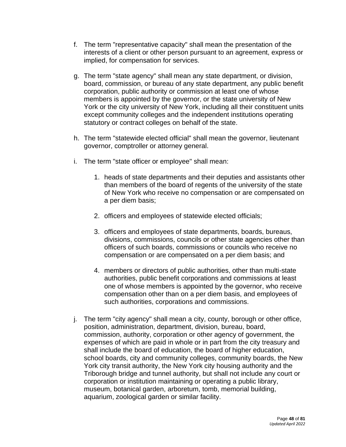- f. The term "representative capacity" shall mean the presentation of the interests of a client or other person pursuant to an agreement, express or implied, for compensation for services.
- g. The term "state agency" shall mean any state department, or division, board, commission, or bureau of any state department, any public benefit corporation, public authority or commission at least one of whose members is appointed by the governor, or the state university of New York or the city university of New York, including all their constituent units except community colleges and the independent institutions operating statutory or contract colleges on behalf of the state.
- h. The term "statewide elected official" shall mean the governor, lieutenant governor, comptroller or attorney general.
- i. The term "state officer or employee" shall mean:
	- 1. heads of state departments and their deputies and assistants other than members of the board of regents of the university of the state of New York who receive no compensation or are compensated on a per diem basis;
	- 2. officers and employees of statewide elected officials;
	- 3. officers and employees of state departments, boards, bureaus, divisions, commissions, councils or other state agencies other than officers of such boards, commissions or councils who receive no compensation or are compensated on a per diem basis; and
	- 4. members or directors of public authorities, other than multi-state authorities, public benefit corporations and commissions at least one of whose members is appointed by the governor, who receive compensation other than on a per diem basis, and employees of such authorities, corporations and commissions.
- j. The term "city agency" shall mean a city, county, borough or other office, position, administration, department, division, bureau, board, commission, authority, corporation or other agency of government, the expenses of which are paid in whole or in part from the city treasury and shall include the board of education, the board of higher education, school boards, city and community colleges, community boards, the New York city transit authority, the New York city housing authority and the Triborough bridge and tunnel authority, but shall not include any court or corporation or institution maintaining or operating a public library, museum, botanical garden, arboretum, tomb, memorial building, aquarium, zoological garden or similar facility.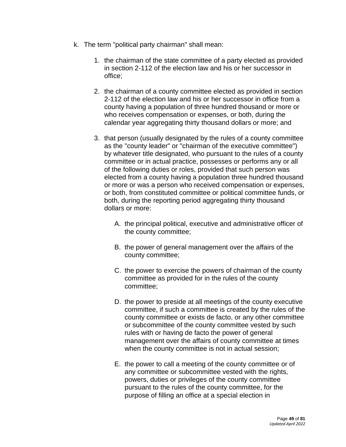- k. The term "political party chairman" shall mean:
	- 1. the chairman of the state committee of a party elected as provided in section 2-112 of the election law and his or her successor in office;
	- 2. the chairman of a county committee elected as provided in section 2-112 of the election law and his or her successor in office from a county having a population of three hundred thousand or more or who receives compensation or expenses, or both, during the calendar year aggregating thirty thousand dollars or more; and
	- 3. that person (usually designated by the rules of a county committee as the "county leader" or "chairman of the executive committee") by whatever title designated, who pursuant to the rules of a county committee or in actual practice, possesses or performs any or all of the following duties or roles, provided that such person was elected from a county having a population three hundred thousand or more or was a person who received compensation or expenses, or both, from constituted committee or political committee funds, or both, during the reporting period aggregating thirty thousand dollars or more:
		- A. the principal political, executive and administrative officer of the county committee;
		- B. the power of general management over the affairs of the county committee;
		- C. the power to exercise the powers of chairman of the county committee as provided for in the rules of the county committee;
		- D. the power to preside at all meetings of the county executive committee, if such a committee is created by the rules of the county committee or exists de facto, or any other committee or subcommittee of the county committee vested by such rules with or having de facto the power of general management over the affairs of county committee at times when the county committee is not in actual session;
		- E. the power to call a meeting of the county committee or of any committee or subcommittee vested with the rights, powers, duties or privileges of the county committee pursuant to the rules of the county committee, for the purpose of filling an office at a special election in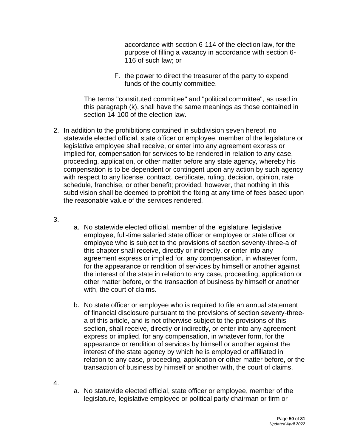accordance with section 6-114 of the election law, for the purpose of filling a vacancy in accordance with section 6- 116 of such law; or

F. the power to direct the treasurer of the party to expend funds of the county committee.

The terms "constituted committee" and "political committee", as used in this paragraph (k), shall have the same meanings as those contained in section 14-100 of the election law.

2. In addition to the prohibitions contained in subdivision seven hereof, no statewide elected official, state officer or employee, member of the legislature or legislative employee shall receive, or enter into any agreement express or implied for, compensation for services to be rendered in relation to any case, proceeding, application, or other matter before any state agency, whereby his compensation is to be dependent or contingent upon any action by such agency with respect to any license, contract, certificate, ruling, decision, opinion, rate schedule, franchise, or other benefit; provided, however, that nothing in this subdivision shall be deemed to prohibit the fixing at any time of fees based upon the reasonable value of the services rendered.

3.

- a. No statewide elected official, member of the legislature, legislative employee, full-time salaried state officer or employee or state officer or employee who is subject to the provisions of section seventy-three-a of this chapter shall receive, directly or indirectly, or enter into any agreement express or implied for, any compensation, in whatever form, for the appearance or rendition of services by himself or another against the interest of the state in relation to any case, proceeding, application or other matter before, or the transaction of business by himself or another with, the court of claims.
- b. No state officer or employee who is required to file an annual statement of financial disclosure pursuant to the provisions of section seventy-threea of this article, and is not otherwise subject to the provisions of this section, shall receive, directly or indirectly, or enter into any agreement express or implied, for any compensation, in whatever form, for the appearance or rendition of services by himself or another against the interest of the state agency by which he is employed or affiliated in relation to any case, proceeding, application or other matter before, or the transaction of business by himself or another with, the court of claims.

4.

a. No statewide elected official, state officer or employee, member of the legislature, legislative employee or political party chairman or firm or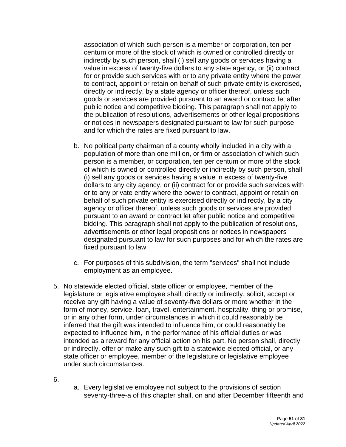association of which such person is a member or corporation, ten per centum or more of the stock of which is owned or controlled directly or indirectly by such person, shall (i) sell any goods or services having a value in excess of twenty-five dollars to any state agency, or (ii) contract for or provide such services with or to any private entity where the power to contract, appoint or retain on behalf of such private entity is exercised, directly or indirectly, by a state agency or officer thereof, unless such goods or services are provided pursuant to an award or contract let after public notice and competitive bidding. This paragraph shall not apply to the publication of resolutions, advertisements or other legal propositions or notices in newspapers designated pursuant to law for such purpose and for which the rates are fixed pursuant to law.

- b. No political party chairman of a county wholly included in a city with a population of more than one million, or firm or association of which such person is a member, or corporation, ten per centum or more of the stock of which is owned or controlled directly or indirectly by such person, shall (i) sell any goods or services having a value in excess of twenty-five dollars to any city agency, or (ii) contract for or provide such services with or to any private entity where the power to contract, appoint or retain on behalf of such private entity is exercised directly or indirectly, by a city agency or officer thereof, unless such goods or services are provided pursuant to an award or contract let after public notice and competitive bidding. This paragraph shall not apply to the publication of resolutions, advertisements or other legal propositions or notices in newspapers designated pursuant to law for such purposes and for which the rates are fixed pursuant to law.
- c. For purposes of this subdivision, the term "services" shall not include employment as an employee.
- 5. No statewide elected official, state officer or employee, member of the legislature or legislative employee shall, directly or indirectly, solicit, accept or receive any gift having a value of seventy-five dollars or more whether in the form of money, service, loan, travel, entertainment, hospitality, thing or promise, or in any other form, under circumstances in which it could reasonably be inferred that the gift was intended to influence him, or could reasonably be expected to influence him, in the performance of his official duties or was intended as a reward for any official action on his part. No person shall, directly or indirectly, offer or make any such gift to a statewide elected official, or any state officer or employee, member of the legislature or legislative employee under such circumstances.
- 6.
- a. Every legislative employee not subject to the provisions of section seventy-three-a of this chapter shall, on and after December fifteenth and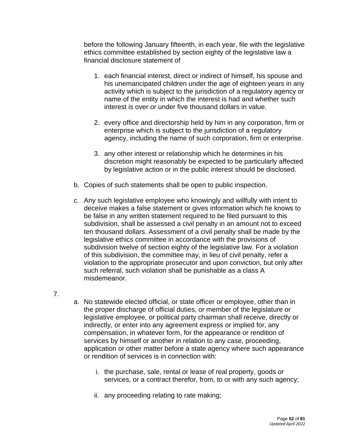before the following January fifteenth, in each year, file with the legislative ethics committee established by section eighty of the legislative law a financial disclosure statement of

- 1. each financial interest, direct or indirect of himself, his spouse and his unemancipated children under the age of eighteen years in any activity which is subject to the jurisdiction of a regulatory agency or name of the entity in which the interest is had and whether such interest is over or under five thousand dollars in value.
- 2. every office and directorship held by him in any corporation, firm or enterprise which is subject to the jurisdiction of a regulatory agency, including the name of such corporation, firm or enterprise.
- 3. any other interest or relationship which he determines in his discretion might reasonably be expected to be particularly affected by legislative action or in the public interest should be disclosed.
- b. Copies of such statements shall be open to public inspection.
- c. Any such legislative employee who knowingly and willfully with intent to deceive makes a false statement or gives information which he knows to be false in any written statement required to be filed pursuant to this subdivision, shall be assessed a civil penalty in an amount not to exceed ten thousand dollars. Assessment of a civil penalty shall be made by the legislative ethics committee in accordance with the provisions of subdivision twelve of section eighty of the legislative law. For a violation of this subdivision, the committee may, in lieu of civil penalty, refer a violation to the appropriate prosecutor and upon conviction, but only after such referral, such violation shall be punishable as a class A misdemeanor.
- 7.
- a. No statewide elected official, or state officer or employee, other than in the proper discharge of official duties, or member of the legislature or legislative employee, or political party chairman shall receive, directly or indirectly, or enter into any agreement express or implied for, any compensation, in whatever form, for the appearance or rendition of services by himself or another in relation to any case, proceeding, application or other matter before a state agency where such appearance or rendition of services is in connection with:
	- i. the purchase, sale, rental or lease of real property, goods or services, or a contract therefor, from, to or with any such agency;
	- ii. any proceeding relating to rate making;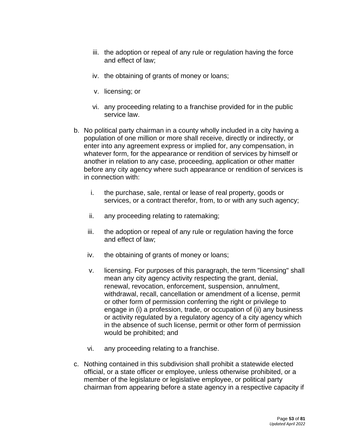- iii. the adoption or repeal of any rule or regulation having the force and effect of law;
- iv. the obtaining of grants of money or loans;
- v. licensing; or
- vi. any proceeding relating to a franchise provided for in the public service law.
- b. No political party chairman in a county wholly included in a city having a population of one million or more shall receive, directly or indirectly, or enter into any agreement express or implied for, any compensation, in whatever form, for the appearance or rendition of services by himself or another in relation to any case, proceeding, application or other matter before any city agency where such appearance or rendition of services is in connection with:
	- i. the purchase, sale, rental or lease of real property, goods or services, or a contract therefor, from, to or with any such agency;
	- ii. any proceeding relating to ratemaking;
	- iii. the adoption or repeal of any rule or regulation having the force and effect of law;
	- iv. the obtaining of grants of money or loans;
	- v. licensing. For purposes of this paragraph, the term "licensing" shall mean any city agency activity respecting the grant, denial, renewal, revocation, enforcement, suspension, annulment, withdrawal, recall, cancellation or amendment of a license, permit or other form of permission conferring the right or privilege to engage in (i) a profession, trade, or occupation of (ii) any business or activity regulated by a regulatory agency of a city agency which in the absence of such license, permit or other form of permission would be prohibited; and
	- vi. any proceeding relating to a franchise.
- c. Nothing contained in this subdivision shall prohibit a statewide elected official, or a state officer or employee, unless otherwise prohibited, or a member of the legislature or legislative employee, or political party chairman from appearing before a state agency in a respective capacity if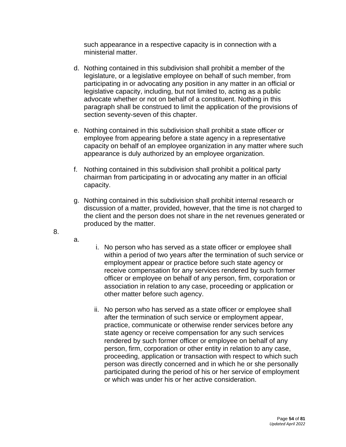such appearance in a respective capacity is in connection with a ministerial matter.

- d. Nothing contained in this subdivision shall prohibit a member of the legislature, or a legislative employee on behalf of such member, from participating in or advocating any position in any matter in an official or legislative capacity, including, but not limited to, acting as a public advocate whether or not on behalf of a constituent. Nothing in this paragraph shall be construed to limit the application of the provisions of section seventy-seven of this chapter.
- e. Nothing contained in this subdivision shall prohibit a state officer or employee from appearing before a state agency in a representative capacity on behalf of an employee organization in any matter where such appearance is duly authorized by an employee organization.
- f. Nothing contained in this subdivision shall prohibit a political party chairman from participating in or advocating any matter in an official capacity.
- g. Nothing contained in this subdivision shall prohibit internal research or discussion of a matter, provided, however, that the time is not charged to the client and the person does not share in the net revenues generated or produced by the matter.
- 

8.

- a.
- i. No person who has served as a state officer or employee shall within a period of two years after the termination of such service or employment appear or practice before such state agency or receive compensation for any services rendered by such former officer or employee on behalf of any person, firm, corporation or association in relation to any case, proceeding or application or other matter before such agency.
- ii. No person who has served as a state officer or employee shall after the termination of such service or employment appear, practice, communicate or otherwise render services before any state agency or receive compensation for any such services rendered by such former officer or employee on behalf of any person, firm, corporation or other entity in relation to any case, proceeding, application or transaction with respect to which such person was directly concerned and in which he or she personally participated during the period of his or her service of employment or which was under his or her active consideration.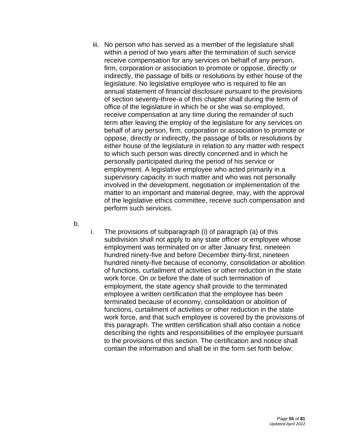- iii. No person who has served as a member of the legislature shall within a period of two years after the termination of such service receive compensation for any services on behalf of any person, firm, corporation or association to promote or oppose, directly or indirectly, the passage of bills or resolutions by either house of the legislature. No legislative employee who is required to file an annual statement of financial disclosure pursuant to the provisions of section seventy-three-a of this chapter shall during the term of office of the legislature in which he or she was so employed, receive compensation at any time during the remainder of such term after leaving the employ of the legislature for any services on behalf of any person, firm, corporation or association to promote or oppose, directly or indirectly, the passage of bills or resolutions by either house of the legislature in relation to any matter with respect to which such person was directly concerned and in which he personally participated during the period of his service or employment. A legislative employee who acted primarily in a supervisory capacity in such matter and who was not personally involved in the development, negotiation or implementation of the matter to an important and material degree, may, with the approval of the legislative ethics committee, receive such compensation and perform such services.
- b.
- i. The provisions of subparagraph (i) of paragraph (a) of this subdivision shall not apply to any state officer or employee whose employment was terminated on or after January first, nineteen hundred ninety-five and before December thirty-first, nineteen hundred ninety-five because of economy, consolidation or abolition of functions, curtailment of activities or other reduction in the state work force. On or before the date of such termination of employment, the state agency shall provide to the terminated employee a written certification that the employee has been terminated because of economy, consolidation or abolition of functions, curtailment of activities or other reduction in the state work force, and that such employee is covered by the provisions of this paragraph. The written certification shall also contain a notice describing the rights and responsibilities of the employee pursuant to the provisions of this section. The certification and notice shall contain the information and shall be in the form set forth below: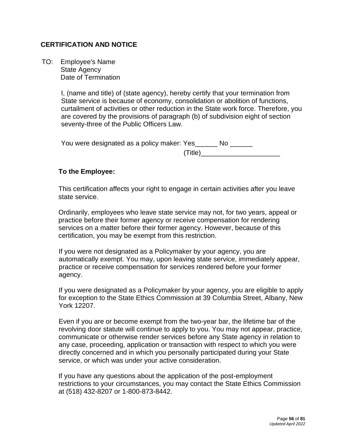## **CERTIFICATION AND NOTICE**

 TO: Employee's Name State Agency Date of Termination

> I, (name and title) of (state agency), hereby certify that your termination from State service is because of economy, consolidation or abolition of functions, curtailment of activities or other reduction in the State work force. Therefore, you are covered by the provisions of paragraph (b) of subdivision eight of section seventy-three of the Public Officers Law.

| You were designated as a policy maker: Yes |  |
|--------------------------------------------|--|
| (Title)                                    |  |

#### **To the Employee:**

This certification affects your right to engage in certain activities after you leave state service.

Ordinarily, employees who leave state service may not, for two years, appeal or practice before their former agency or receive compensation for rendering services on a matter before their former agency. However, because of this certification, you may be exempt from this restriction.

If you were not designated as a Policymaker by your agency, you are automatically exempt. You may, upon leaving state service, immediately appear, practice or receive compensation for services rendered before your former agency.

If you were designated as a Policymaker by your agency, you are eligible to apply for exception to the State Ethics Commission at 39 Columbia Street, Albany, New York 12207.

Even if you are or become exempt from the two-year bar, the lifetime bar of the revolving door statute will continue to apply to you. You may not appear, practice, communicate or otherwise render services before any State agency in relation to any case, proceeding, application or transaction with respect to which you were directly concerned and in which you personally participated during your State service, or which was under your active consideration.

If you have any questions about the application of the post-employment restrictions to your circumstances, you may contact the State Ethics Commission at (518) 432-8207 or 1-800-873-8442.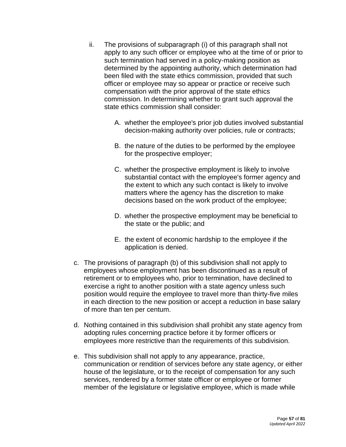- ii. The provisions of subparagraph (i) of this paragraph shall not apply to any such officer or employee who at the time of or prior to such termination had served in a policy-making position as determined by the appointing authority, which determination had been filed with the state ethics commission, provided that such officer or employee may so appear or practice or receive such compensation with the prior approval of the state ethics commission. In determining whether to grant such approval the state ethics commission shall consider:
	- A. whether the employee's prior job duties involved substantial decision-making authority over policies, rule or contracts;
	- B. the nature of the duties to be performed by the employee for the prospective employer;
	- C. whether the prospective employment is likely to involve substantial contact with the employee's former agency and the extent to which any such contact is likely to involve matters where the agency has the discretion to make decisions based on the work product of the employee;
	- D. whether the prospective employment may be beneficial to the state or the public; and
	- E. the extent of economic hardship to the employee if the application is denied.
- c. The provisions of paragraph (b) of this subdivision shall not apply to employees whose employment has been discontinued as a result of retirement or to employees who, prior to termination, have declined to exercise a right to another position with a state agency unless such position would require the employee to travel more than thirty-five miles in each direction to the new position or accept a reduction in base salary of more than ten per centum.
- d. Nothing contained in this subdivision shall prohibit any state agency from adopting rules concerning practice before it by former officers or employees more restrictive than the requirements of this subdivision.
- e. This subdivision shall not apply to any appearance, practice, communication or rendition of services before any state agency, or either house of the legislature, or to the receipt of compensation for any such services, rendered by a former state officer or employee or former member of the legislature or legislative employee, which is made while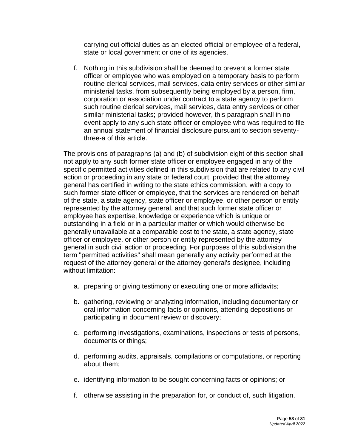carrying out official duties as an elected official or employee of a federal, state or local government or one of its agencies.

f. Nothing in this subdivision shall be deemed to prevent a former state officer or employee who was employed on a temporary basis to perform routine clerical services, mail services, data entry services or other similar ministerial tasks, from subsequently being employed by a person, firm, corporation or association under contract to a state agency to perform such routine clerical services, mail services, data entry services or other similar ministerial tasks; provided however, this paragraph shall in no event apply to any such state officer or employee who was required to file an annual statement of financial disclosure pursuant to section seventythree-a of this article.

The provisions of paragraphs (a) and (b) of subdivision eight of this section shall not apply to any such former state officer or employee engaged in any of the specific permitted activities defined in this subdivision that are related to any civil action or proceeding in any state or federal court, provided that the attorney general has certified in writing to the state ethics commission, with a copy to such former state officer or employee, that the services are rendered on behalf of the state, a state agency, state officer or employee, or other person or entity represented by the attorney general, and that such former state officer or employee has expertise, knowledge or experience which is unique or outstanding in a field or in a particular matter or which would otherwise be generally unavailable at a comparable cost to the state, a state agency, state officer or employee, or other person or entity represented by the attorney general in such civil action or proceeding. For purposes of this subdivision the term "permitted activities" shall mean generally any activity performed at the request of the attorney general or the attorney general's designee, including without limitation:

- a. preparing or giving testimony or executing one or more affidavits;
- b. gathering, reviewing or analyzing information, including documentary or oral information concerning facts or opinions, attending depositions or participating in document review or discovery;
- c. performing investigations, examinations, inspections or tests of persons, documents or things;
- d. performing audits, appraisals, compilations or computations, or reporting about them;
- e. identifying information to be sought concerning facts or opinions; or
- f. otherwise assisting in the preparation for, or conduct of, such litigation.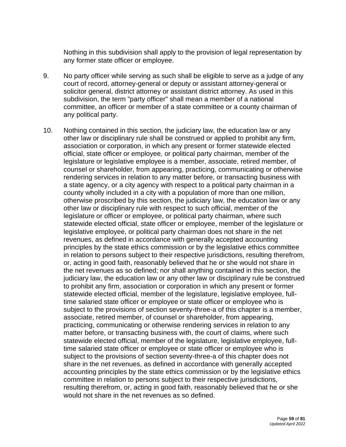Nothing in this subdivision shall apply to the provision of legal representation by any former state officer or employee.

- 9. No party officer while serving as such shall be eligible to serve as a judge of any court of record, attorney-general or deputy or assistant attorney-general or solicitor general, district attorney or assistant district attorney. As used in this subdivision, the term "party officer" shall mean a member of a national committee, an officer or member of a state committee or a county chairman of any political party.
- 10. Nothing contained in this section, the judiciary law, the education law or any other law or disciplinary rule shall be construed or applied to prohibit any firm, association or corporation, in which any present or former statewide elected official, state officer or employee, or political party chairman, member of the legislature or legislative employee is a member, associate, retired member, of counsel or shareholder, from appearing, practicing, communicating or otherwise rendering services in relation to any matter before, or transacting business with a state agency, or a city agency with respect to a political party chairman in a county wholly included in a city with a population of more than one million, otherwise proscribed by this section, the judiciary law, the education law or any other law or disciplinary rule with respect to such official, member of the legislature or officer or employee, or political party chairman, where such statewide elected official, state officer or employee, member of the legislature or legislative employee, or political party chairman does not share in the net revenues, as defined in accordance with generally accepted accounting principles by the state ethics commission or by the legislative ethics committee in relation to persons subject to their respective jurisdictions, resulting therefrom, or, acting in good faith, reasonably believed that he or she would not share in the net revenues as so defined; nor shall anything contained in this section, the judiciary law, the education law or any other law or disciplinary rule be construed to prohibit any firm, association or corporation in which any present or former statewide elected official, member of the legislature, legislative employee, fulltime salaried state officer or employee or state officer or employee who is subject to the provisions of section seventy-three-a of this chapter is a member, associate, retired member, of counsel or shareholder, from appearing, practicing, communicating or otherwise rendering services in relation to any matter before, or transacting business with, the court of claims, where such statewide elected official, member of the legislature, legislative employee, fulltime salaried state officer or employee or state officer or employee who is subject to the provisions of section seventy-three-a of this chapter does not share in the net revenues, as defined in accordance with generally accepted accounting principles by the state ethics commission or by the legislative ethics committee in relation to persons subject to their respective jurisdictions, resulting therefrom, or, acting in good faith, reasonably believed that he or she would not share in the net revenues as so defined.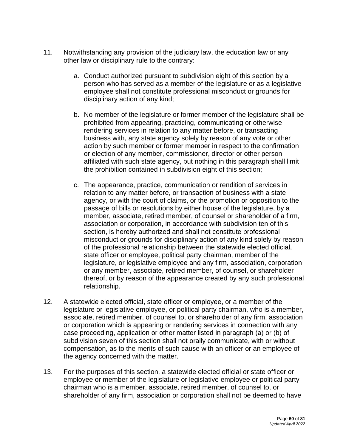- 11. Notwithstanding any provision of the judiciary law, the education law or any other law or disciplinary rule to the contrary:
	- a. Conduct authorized pursuant to subdivision eight of this section by a person who has served as a member of the legislature or as a legislative employee shall not constitute professional misconduct or grounds for disciplinary action of any kind;
	- b. No member of the legislature or former member of the legislature shall be prohibited from appearing, practicing, communicating or otherwise rendering services in relation to any matter before, or transacting business with, any state agency solely by reason of any vote or other action by such member or former member in respect to the confirmation or election of any member, commissioner, director or other person affiliated with such state agency, but nothing in this paragraph shall limit the prohibition contained in subdivision eight of this section;
	- c. The appearance, practice, communication or rendition of services in relation to any matter before, or transaction of business with a state agency, or with the court of claims, or the promotion or opposition to the passage of bills or resolutions by either house of the legislature, by a member, associate, retired member, of counsel or shareholder of a firm, association or corporation, in accordance with subdivision ten of this section, is hereby authorized and shall not constitute professional misconduct or grounds for disciplinary action of any kind solely by reason of the professional relationship between the statewide elected official, state officer or employee, political party chairman, member of the legislature, or legislative employee and any firm, association, corporation or any member, associate, retired member, of counsel, or shareholder thereof, or by reason of the appearance created by any such professional relationship.
- 12. A statewide elected official, state officer or employee, or a member of the legislature or legislative employee, or political party chairman, who is a member, associate, retired member, of counsel to, or shareholder of any firm, association or corporation which is appearing or rendering services in connection with any case proceeding, application or other matter listed in paragraph (a) or (b) of subdivision seven of this section shall not orally communicate, with or without compensation, as to the merits of such cause with an officer or an employee of the agency concerned with the matter.
- 13. For the purposes of this section, a statewide elected official or state officer or employee or member of the legislature or legislative employee or political party chairman who is a member, associate, retired member, of counsel to, or shareholder of any firm, association or corporation shall not be deemed to have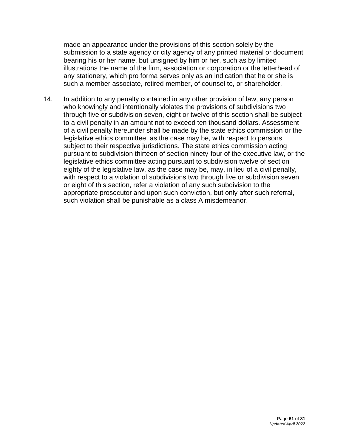made an appearance under the provisions of this section solely by the submission to a state agency or city agency of any printed material or document bearing his or her name, but unsigned by him or her, such as by limited illustrations the name of the firm, association or corporation or the letterhead of any stationery, which pro forma serves only as an indication that he or she is such a member associate, retired member, of counsel to, or shareholder.

14. In addition to any penalty contained in any other provision of law, any person who knowingly and intentionally violates the provisions of subdivisions two through five or subdivision seven, eight or twelve of this section shall be subject to a civil penalty in an amount not to exceed ten thousand dollars. Assessment of a civil penalty hereunder shall be made by the state ethics commission or the legislative ethics committee, as the case may be, with respect to persons subject to their respective jurisdictions. The state ethics commission acting pursuant to subdivision thirteen of section ninety-four of the executive law, or the legislative ethics committee acting pursuant to subdivision twelve of section eighty of the legislative law, as the case may be, may, in lieu of a civil penalty, with respect to a violation of subdivisions two through five or subdivision seven or eight of this section, refer a violation of any such subdivision to the appropriate prosecutor and upon such conviction, but only after such referral, such violation shall be punishable as a class A misdemeanor.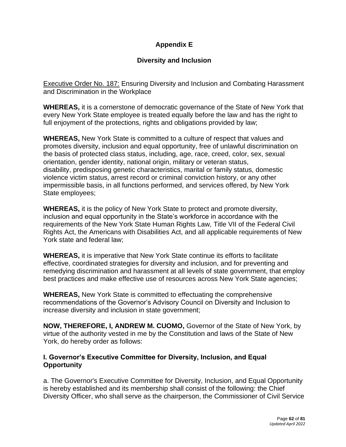# **Appendix E**

# **Diversity and Inclusion**

Executive Order No. 187: Ensuring Diversity and Inclusion and Combating Harassment and Discrimination in the Workplace

**WHEREAS,** it is a cornerstone of democratic governance of the State of New York that every New York State employee is treated equally before the law and has the right to full enjoyment of the protections, rights and obligations provided by law;

**WHEREAS,** New York State is committed to a culture of respect that values and promotes diversity, inclusion and equal opportunity, free of unlawful discrimination on the basis of protected class status, including, age, race, creed, color, sex, sexual orientation, gender identity, national origin, military or veteran status, disability, predisposing genetic characteristics, marital or family status, domestic violence victim status, arrest record or criminal conviction history, or any other impermissible basis, in all functions performed, and services offered, by New York State employees;

**WHEREAS,** it is the policy of New York State to protect and promote diversity, inclusion and equal opportunity in the State's workforce in accordance with the requirements of the New York State Human Rights Law, Title VII of the Federal Civil Rights Act, the Americans with Disabilities Act, and all applicable requirements of New York state and federal law;

**WHEREAS,** it is imperative that New York State continue its efforts to facilitate effective, coordinated strategies for diversity and inclusion, and for preventing and remedying discrimination and harassment at all levels of state government, that employ best practices and make effective use of resources across New York State agencies;

**WHEREAS,** New York State is committed to effectuating the comprehensive recommendations of the Governor's Advisory Council on Diversity and Inclusion to increase diversity and inclusion in state government;

**NOW, THEREFORE, I, ANDREW M. CUOMO,** Governor of the State of New York, by virtue of the authority vested in me by the Constitution and laws of the State of New York, do hereby order as follows:

## **I. Governor's Executive Committee for Diversity, Inclusion, and Equal Opportunity**

a. The Governor's Executive Committee for Diversity, Inclusion, and Equal Opportunity is hereby established and its membership shall consist of the following: the Chief Diversity Officer, who shall serve as the chairperson, the Commissioner of Civil Service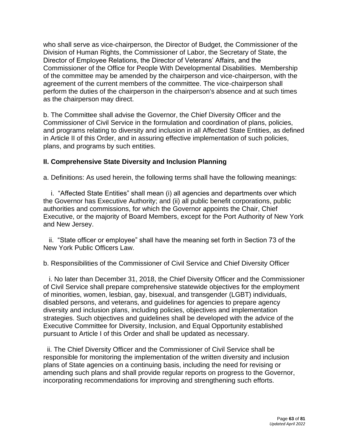who shall serve as vice-chairperson, the Director of Budget, the Commissioner of the Division of Human Rights, the Commissioner of Labor, the Secretary of State, the Director of Employee Relations, the Director of Veterans' Affairs, and the Commissioner of the Office for People With Developmental Disabilities. Membership of the committee may be amended by the chairperson and vice-chairperson, with the agreement of the current members of the committee. The vice-chairperson shall perform the duties of the chairperson in the chairperson's absence and at such times as the chairperson may direct.

b. The Committee shall advise the Governor, the Chief Diversity Officer and the Commissioner of Civil Service in the formulation and coordination of plans, policies, and programs relating to diversity and inclusion in all Affected State Entities, as defined in Article II of this Order, and in assuring effective implementation of such policies, plans, and programs by such entities.

## **II. Comprehensive State Diversity and Inclusion Planning**

a. Definitions: As used herein, the following terms shall have the following meanings:

 i. "Affected State Entities" shall mean (i) all agencies and departments over which the Governor has Executive Authority; and (ii) all public benefit corporations, public authorities and commissions, for which the Governor appoints the Chair, Chief Executive, or the majority of Board Members, except for the Port Authority of New York and New Jersey.

 ii. "State officer or employee" shall have the meaning set forth in Section 73 of the New York Public Officers Law.

b. Responsibilities of the Commissioner of Civil Service and Chief Diversity Officer

 i. No later than December 31, 2018, the Chief Diversity Officer and the Commissioner of Civil Service shall prepare comprehensive statewide objectives for the employment of minorities, women, lesbian, gay, bisexual, and transgender (LGBT) individuals, disabled persons, and veterans, and guidelines for agencies to prepare agency diversity and inclusion plans, including policies, objectives and implementation strategies. Such objectives and guidelines shall be developed with the advice of the Executive Committee for Diversity, Inclusion, and Equal Opportunity established pursuant to Article I of this Order and shall be updated as necessary.

 ii. The Chief Diversity Officer and the Commissioner of Civil Service shall be responsible for monitoring the implementation of the written diversity and inclusion plans of State agencies on a continuing basis, including the need for revising or amending such plans and shall provide regular reports on progress to the Governor, incorporating recommendations for improving and strengthening such efforts.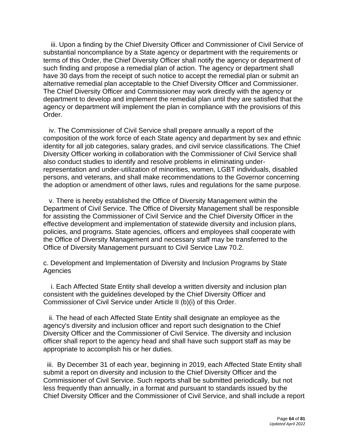iii. Upon a finding by the Chief Diversity Officer and Commissioner of Civil Service of substantial noncompliance by a State agency or department with the requirements or terms of this Order, the Chief Diversity Officer shall notify the agency or department of such finding and propose a remedial plan of action. The agency or department shall have 30 days from the receipt of such notice to accept the remedial plan or submit an alternative remedial plan acceptable to the Chief Diversity Officer and Commissioner. The Chief Diversity Officer and Commissioner may work directly with the agency or department to develop and implement the remedial plan until they are satisfied that the agency or department will implement the plan in compliance with the provisions of this Order.

 iv. The Commissioner of Civil Service shall prepare annually a report of the composition of the work force of each State agency and department by sex and ethnic identity for all job categories, salary grades, and civil service classifications. The Chief Diversity Officer working in collaboration with the Commissioner of Civil Service shall also conduct studies to identify and resolve problems in eliminating underrepresentation and under-utilization of minorities, women, LGBT individuals, disabled persons, and veterans, and shall make recommendations to the Governor concerning the adoption or amendment of other laws, rules and regulations for the same purpose.

v. There is hereby established the Office of Diversity Management within the Department of Civil Service. The Office of Diversity Management shall be responsible for assisting the Commissioner of Civil Service and the Chief Diversity Officer in the effective development and implementation of statewide diversity and inclusion plans, policies, and programs. State agencies, officers and employees shall cooperate with the Office of Diversity Management and necessary staff may be transferred to the Office of Diversity Management pursuant to Civil Service Law 70.2.

c. Development and Implementation of Diversity and Inclusion Programs by State Agencies

 i. Each Affected State Entity shall develop a written diversity and inclusion plan consistent with the guidelines developed by the Chief Diversity Officer and Commissioner of Civil Service under Article II (b)(i) of this Order.

 ii. The head of each Affected State Entity shall designate an employee as the agency's diversity and inclusion officer and report such designation to the Chief Diversity Officer and the Commissioner of Civil Service. The diversity and inclusion officer shall report to the agency head and shall have such support staff as may be appropriate to accomplish his or her duties.

iii. By December 31 of each year, beginning in 2019, each Affected State Entity shall submit a report on diversity and inclusion to the Chief Diversity Officer and the Commissioner of Civil Service. Such reports shall be submitted periodically, but not less frequently than annually, in a format and pursuant to standards issued by the Chief Diversity Officer and the Commissioner of Civil Service, and shall include a report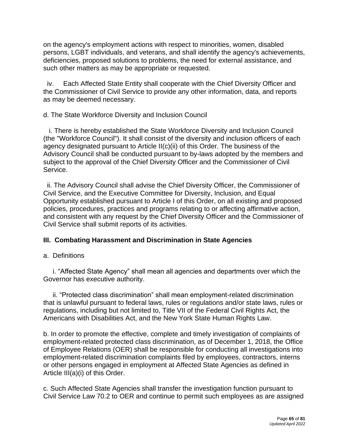on the agency's employment actions with respect to minorities, women, disabled persons, LGBT individuals, and veterans, and shall identify the agency's achievements, deficiencies, proposed solutions to problems, the need for external assistance, and such other matters as may be appropriate or requested.

 iv. Each Affected State Entity shall cooperate with the Chief Diversity Officer and the Commissioner of Civil Service to provide any other information, data, and reports as may be deemed necessary.

d. The State Workforce Diversity and Inclusion Council

 i. There is hereby established the State Workforce Diversity and Inclusion Council (the "Workforce Council"). It shall consist of the diversity and inclusion officers of each agency designated pursuant to Article II(c)(ii) of this Order. The business of the Advisory Council shall be conducted pursuant to by-laws adopted by the members and subject to the approval of the Chief Diversity Officer and the Commissioner of Civil Service.

ii. The Advisory Council shall advise the Chief Diversity Officer, the Commissioner of Civil Service, and the Executive Committee for Diversity, Inclusion, and Equal Opportunity established pursuant to Article I of this Order, on all existing and proposed policies, procedures, practices and programs relating to or affecting affirmative action, and consistent with any request by the Chief Diversity Officer and the Commissioner of Civil Service shall submit reports of its activities.

# **III. Combating Harassment and Discrimination in State Agencies**

# a. Definitions

 i. "Affected State Agency" shall mean all agencies and departments over which the Governor has executive authority.

 ii. "Protected class discrimination" shall mean employment-related discrimination that is unlawful pursuant to federal laws, rules or regulations and/or state laws, rules or regulations, including but not limited to, Title VII of the Federal Civil Rights Act, the Americans with Disabilities Act, and the New York State Human Rights Law.

b. In order to promote the effective, complete and timely investigation of complaints of employment-related protected class discrimination, as of December 1, 2018, the Office of Employee Relations (OER) shall be responsible for conducting all investigations into employment-related discrimination complaints filed by employees, contractors, interns or other persons engaged in employment at Affected State Agencies as defined in Article III(a)(i) of this Order.

c. Such Affected State Agencies shall transfer the investigation function pursuant to Civil Service Law 70.2 to OER and continue to permit such employees as are assigned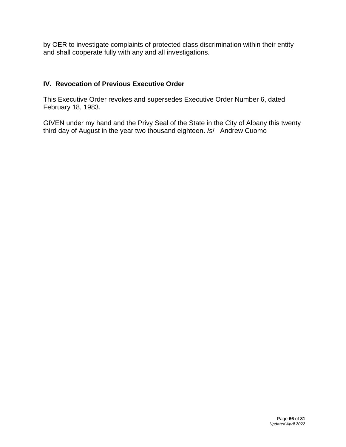by OER to investigate complaints of protected class discrimination within their entity and shall cooperate fully with any and all investigations.

# **IV. Revocation of Previous Executive Order**

This Executive Order revokes and supersedes Executive Order Number 6, dated February 18, 1983.

GIVEN under my hand and the Privy Seal of the State in the City of Albany this twenty third day of August in the year two thousand eighteen. /s/ Andrew Cuomo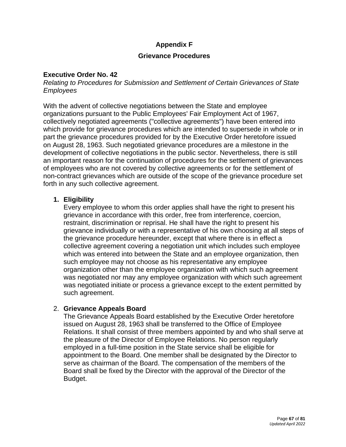# **Appendix F**

### **Grievance Procedures**

### **Executive Order No. 42**

*Relating to Procedures for Submission and Settlement of Certain Grievances of State Employees*

With the advent of collective negotiations between the State and employee organizations pursuant to the Public Employees' Fair Employment Act of 1967, collectively negotiated agreements ("collective agreements") have been entered into which provide for grievance procedures which are intended to supersede in whole or in part the grievance procedures provided for by the Executive Order heretofore issued on August 28, 1963. Such negotiated grievance procedures are a milestone in the development of collective negotiations in the public sector. Nevertheless, there is still an important reason for the continuation of procedures for the settlement of grievances of employees who are not covered by collective agreements or for the settlement of non-contract grievances which are outside of the scope of the grievance procedure set forth in any such collective agreement.

### **1. Eligibility**

Every employee to whom this order applies shall have the right to present his grievance in accordance with this order, free from interference, coercion, restraint, discrimination or reprisal. He shall have the right to present his grievance individually or with a representative of his own choosing at all steps of the grievance procedure hereunder, except that where there is in effect a collective agreement covering a negotiation unit which includes such employee which was entered into between the State and an employee organization, then such employee may not choose as his representative any employee organization other than the employee organization with which such agreement was negotiated nor may any employee organization with which such agreement was negotiated initiate or process a grievance except to the extent permitted by such agreement.

### 2. **Grievance Appeals Board**

The Grievance Appeals Board established by the Executive Order heretofore issued on August 28, 1963 shall be transferred to the Office of Employee Relations. It shall consist of three members appointed by and who shall serve at the pleasure of the Director of Employee Relations. No person regularly employed in a full-time position in the State service shall be eligible for appointment to the Board. One member shall be designated by the Director to serve as chairman of the Board. The compensation of the members of the Board shall be fixed by the Director with the approval of the Director of the Budget.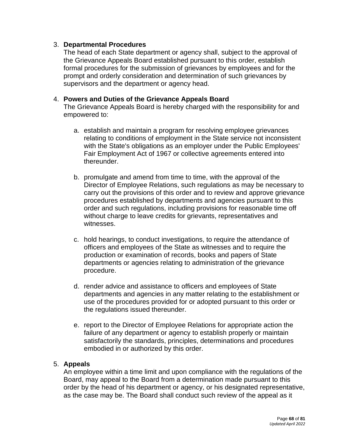### 3. **Departmental Procedures**

The head of each State department or agency shall, subject to the approval of the Grievance Appeals Board established pursuant to this order, establish formal procedures for the submission of grievances by employees and for the prompt and orderly consideration and determination of such grievances by supervisors and the department or agency head.

### 4. **Powers and Duties of the Grievance Appeals Board**

The Grievance Appeals Board is hereby charged with the responsibility for and empowered to:

- a. establish and maintain a program for resolving employee grievances relating to conditions of employment in the State service not inconsistent with the State's obligations as an employer under the Public Employees' Fair Employment Act of 1967 or collective agreements entered into thereunder.
- b. promulgate and amend from time to time, with the approval of the Director of Employee Relations, such regulations as may be necessary to carry out the provisions of this order and to review and approve grievance procedures established by departments and agencies pursuant to this order and such regulations, including provisions for reasonable time off without charge to leave credits for grievants, representatives and witnesses.
- c. hold hearings, to conduct investigations, to require the attendance of officers and employees of the State as witnesses and to require the production or examination of records, books and papers of State departments or agencies relating to administration of the grievance procedure.
- d. render advice and assistance to officers and employees of State departments and agencies in any matter relating to the establishment or use of the procedures provided for or adopted pursuant to this order or the regulations issued thereunder.
- e. report to the Director of Employee Relations for appropriate action the failure of any department or agency to establish properly or maintain satisfactorily the standards, principles, determinations and procedures embodied in or authorized by this order.

### 5. **Appeals**

An employee within a time limit and upon compliance with the regulations of the Board, may appeal to the Board from a determination made pursuant to this order by the head of his department or agency, or his designated representative, as the case may be. The Board shall conduct such review of the appeal as it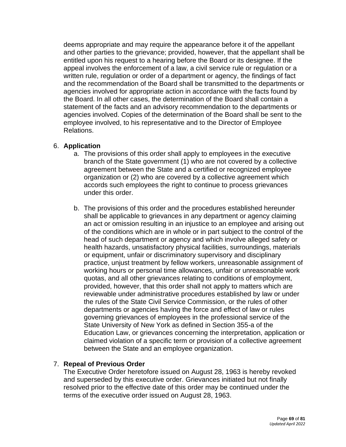deems appropriate and may require the appearance before it of the appellant and other parties to the grievance; provided, however, that the appellant shall be entitled upon his request to a hearing before the Board or its designee. If the appeal involves the enforcement of a law, a civil service rule or regulation or a written rule, regulation or order of a department or agency, the findings of fact and the recommendation of the Board shall be transmitted to the departments or agencies involved for appropriate action in accordance with the facts found by the Board. In all other cases, the determination of the Board shall contain a statement of the facts and an advisory recommendation to the departments or agencies involved. Copies of the determination of the Board shall be sent to the employee involved, to his representative and to the Director of Employee Relations.

## 6. **Application**

- a. The provisions of this order shall apply to employees in the executive branch of the State government (1) who are not covered by a collective agreement between the State and a certified or recognized employee organization or (2) who are covered by a collective agreement which accords such employees the right to continue to process grievances under this order.
- b. The provisions of this order and the procedures established hereunder shall be applicable to grievances in any department or agency claiming an act or omission resulting in an injustice to an employee and arising out of the conditions which are in whole or in part subject to the control of the head of such department or agency and which involve alleged safety or health hazards, unsatisfactory physical facilities, surroundings, materials or equipment, unfair or discriminatory supervisory and disciplinary practice, unjust treatment by fellow workers, unreasonable assignment of working hours or personal time allowances, unfair or unreasonable work quotas, and all other grievances relating to conditions of employment, provided, however, that this order shall not apply to matters which are reviewable under administrative procedures established by law or under the rules of the State Civil Service Commission, or the rules of other departments or agencies having the force and effect of law or rules governing grievances of employees in the professional service of the State University of New York as defined in Section 355-a of the Education Law, or grievances concerning the interpretation, application or claimed violation of a specific term or provision of a collective agreement between the State and an employee organization.

### 7. **Repeal of Previous Order**

The Executive Order heretofore issued on August 28, 1963 is hereby revoked and superseded by this executive order. Grievances initiated but not finally resolved prior to the effective date of this order may be continued under the terms of the executive order issued on August 28, 1963.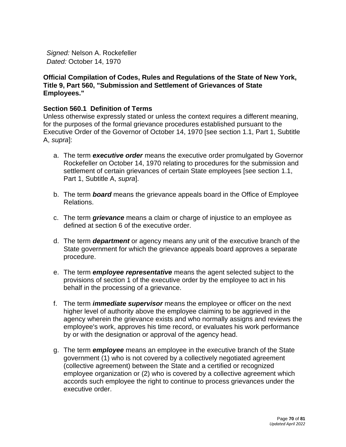*Signed:* Nelson A. Rockefeller *Dated:* October 14, 1970

### **Official Compilation of Codes, Rules and Regulations of the State of New York, Title 9, Part 560, "Submission and Settlement of Grievances of State Employees."**

### **Section 560.1 Definition of Terms**

Unless otherwise expressly stated or unless the context requires a different meaning, for the purposes of the formal grievance procedures established pursuant to the Executive Order of the Governor of October 14, 1970 [see section 1.1, Part 1, Subtitle A, *supra*]:

- a. The term *executive order* means the executive order promulgated by Governor Rockefeller on October 14, 1970 relating to procedures for the submission and settlement of certain grievances of certain State employees [see section 1.1, Part 1, Subtitle A, *supra*].
- b. The term *board* means the grievance appeals board in the Office of Employee Relations.
- c. The term *grievance* means a claim or charge of injustice to an employee as defined at section 6 of the executive order.
- d. The term *department* or agency means any unit of the executive branch of the State government for which the grievance appeals board approves a separate procedure.
- e. The term *employee representative* means the agent selected subject to the provisions of section 1 of the executive order by the employee to act in his behalf in the processing of a grievance.
- f. The term *immediate supervisor* means the employee or officer on the next higher level of authority above the employee claiming to be aggrieved in the agency wherein the grievance exists and who normally assigns and reviews the employee's work, approves his time record, or evaluates his work performance by or with the designation or approval of the agency head.
- g. The term *employee* means an employee in the executive branch of the State government (1) who is not covered by a collectively negotiated agreement (collective agreement) between the State and a certified or recognized employee organization or (2) who is covered by a collective agreement which accords such employee the right to continue to process grievances under the executive order.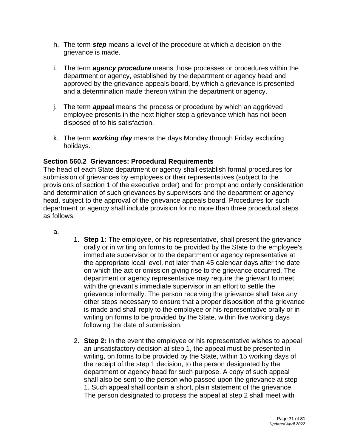- h. The term *step* means a level of the procedure at which a decision on the grievance is made.
- i. The term *agency procedure* means those processes or procedures within the department or agency, established by the department or agency head and approved by the grievance appeals board, by which a grievance is presented and a determination made thereon within the department or agency.
- j. The term *appea***l** means the process or procedure by which an aggrieved employee presents in the next higher step a grievance which has not been disposed of to his satisfaction.
- k. The term *working day* means the days Monday through Friday excluding holidays.

## **Section 560.2 Grievances: Procedural Requirements**

The head of each State department or agency shall establish formal procedures for submission of grievances by employees or their representatives (subject to the provisions of section 1 of the executive order) and for prompt and orderly consideration and determination of such grievances by supervisors and the department or agency head, subject to the approval of the grievance appeals board. Procedures for such department or agency shall include provision for no more than three procedural steps as follows:

a.

- 1. **Step 1:** The employee, or his representative, shall present the grievance orally or in writing on forms to be provided by the State to the employee's immediate supervisor or to the department or agency representative at the appropriate local level, not later than 45 calendar days after the date on which the act or omission giving rise to the grievance occurred. The department or agency representative may require the grievant to meet with the grievant's immediate supervisor in an effort to settle the grievance informally. The person receiving the grievance shall take any other steps necessary to ensure that a proper disposition of the grievance is made and shall reply to the employee or his representative orally or in writing on forms to be provided by the State, within five working days following the date of submission.
- 2. **Step 2:** In the event the employee or his representative wishes to appeal an unsatisfactory decision at step 1, the appeal must be presented in writing, on forms to be provided by the State, within 15 working days of the receipt of the step 1 decision, to the person designated by the department or agency head for such purpose. A copy of such appeal shall also be sent to the person who passed upon the grievance at step 1. Such appeal shall contain a short, plain statement of the grievance. The person designated to process the appeal at step 2 shall meet with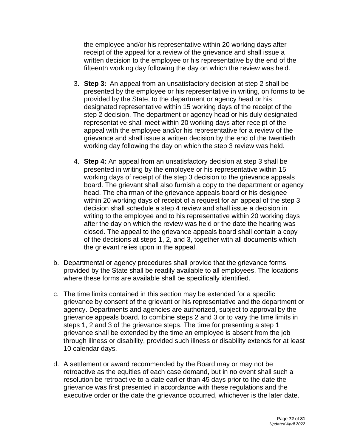the employee and/or his representative within 20 working days after receipt of the appeal for a review of the grievance and shall issue a written decision to the employee or his representative by the end of the fifteenth working day following the day on which the review was held.

- 3. **Step 3:** An appeal from an unsatisfactory decision at step 2 shall be presented by the employee or his representative in writing, on forms to be provided by the State, to the department or agency head or his designated representative within 15 working days of the receipt of the step 2 decision. The department or agency head or his duly designated representative shall meet within 20 working days after receipt of the appeal with the employee and/or his representative for a review of the grievance and shall issue a written decision by the end of the twentieth working day following the day on which the step 3 review was held.
- 4. **Step 4:** An appeal from an unsatisfactory decision at step 3 shall be presented in writing by the employee or his representative within 15 working days of receipt of the step 3 decision to the grievance appeals board. The grievant shall also furnish a copy to the department or agency head. The chairman of the grievance appeals board or his designee within 20 working days of receipt of a request for an appeal of the step 3 decision shall schedule a step 4 review and shall issue a decision in writing to the employee and to his representative within 20 working days after the day on which the review was held or the date the hearing was closed. The appeal to the grievance appeals board shall contain a copy of the decisions at steps 1, 2, and 3, together with all documents which the grievant relies upon in the appeal.
- b. Departmental or agency procedures shall provide that the grievance forms provided by the State shall be readily available to all employees. The locations where these forms are available shall be specifically identified.
- c. The time limits contained in this section may be extended for a specific grievance by consent of the grievant or his representative and the department or agency. Departments and agencies are authorized, subject to approval by the grievance appeals board, to combine steps 2 and 3 or to vary the time limits in steps 1, 2 and 3 of the grievance steps. The time for presenting a step 1 grievance shall be extended by the time an employee is absent from the job through illness or disability, provided such illness or disability extends for at least 10 calendar days.
- d. A settlement or award recommended by the Board may or may not be retroactive as the equities of each case demand, but in no event shall such a resolution be retroactive to a date earlier than 45 days prior to the date the grievance was first presented in accordance with these regulations and the executive order or the date the grievance occurred, whichever is the later date.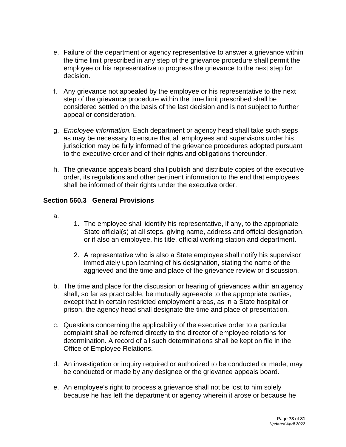- e. Failure of the department or agency representative to answer a grievance within the time limit prescribed in any step of the grievance procedure shall permit the employee or his representative to progress the grievance to the next step for decision.
- f. Any grievance not appealed by the employee or his representative to the next step of the grievance procedure within the time limit prescribed shall be considered settled on the basis of the last decision and is not subject to further appeal or consideration.
- g. *Employee information.* Each department or agency head shall take such steps as may be necessary to ensure that all employees and supervisors under his jurisdiction may be fully informed of the grievance procedures adopted pursuant to the executive order and of their rights and obligations thereunder.
- h. The grievance appeals board shall publish and distribute copies of the executive order, its regulations and other pertinent information to the end that employees shall be informed of their rights under the executive order.

## **Section 560.3 General Provisions**

- a.
- 1. The employee shall identify his representative, if any, to the appropriate State official(s) at all steps, giving name, address and official designation, or if also an employee, his title, official working station and department.
- 2. A representative who is also a State employee shall notify his supervisor immediately upon learning of his designation, stating the name of the aggrieved and the time and place of the grievance review or discussion.
- b. The time and place for the discussion or hearing of grievances within an agency shall, so far as practicable, be mutually agreeable to the appropriate parties, except that in certain restricted employment areas, as in a State hospital or prison, the agency head shall designate the time and place of presentation.
- c. Questions concerning the applicability of the executive order to a particular complaint shall be referred directly to the director of employee relations for determination. A record of all such determinations shall be kept on file in the Office of Employee Relations.
- d. An investigation or inquiry required or authorized to be conducted or made, may be conducted or made by any designee or the grievance appeals board.
- e. An employee's right to process a grievance shall not be lost to him solely because he has left the department or agency wherein it arose or because he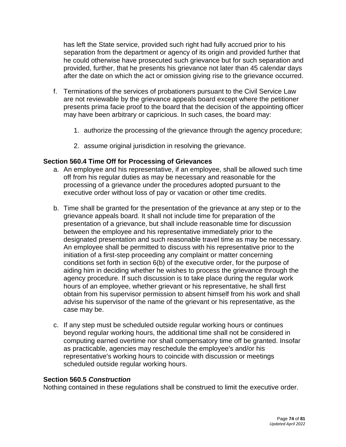has left the State service, provided such right had fully accrued prior to his separation from the department or agency of its origin and provided further that he could otherwise have prosecuted such grievance but for such separation and provided, further, that he presents his grievance not later than 45 calendar days after the date on which the act or omission giving rise to the grievance occurred.

- f. Terminations of the services of probationers pursuant to the Civil Service Law are not reviewable by the grievance appeals board except where the petitioner presents prima facie proof to the board that the decision of the appointing officer may have been arbitrary or capricious. In such cases, the board may:
	- 1. authorize the processing of the grievance through the agency procedure;
	- 2. assume original jurisdiction in resolving the grievance.

## **Section 560.4 Time Off for Processing of Grievances**

- a. An employee and his representative, if an employee, shall be allowed such time off from his regular duties as may be necessary and reasonable for the processing of a grievance under the procedures adopted pursuant to the executive order without loss of pay or vacation or other time credits.
- b. Time shall be granted for the presentation of the grievance at any step or to the grievance appeals board. It shall not include time for preparation of the presentation of a grievance, but shall include reasonable time for discussion between the employee and his representative immediately prior to the designated presentation and such reasonable travel time as may be necessary. An employee shall be permitted to discuss with his representative prior to the initiation of a first-step proceeding any complaint or matter concerning conditions set forth in section 6(b) of the executive order, for the purpose of aiding him in deciding whether he wishes to process the grievance through the agency procedure. If such discussion is to take place during the regular work hours of an employee, whether grievant or his representative, he shall first obtain from his supervisor permission to absent himself from his work and shall advise his supervisor of the name of the grievant or his representative, as the case may be.
- c. If any step must be scheduled outside regular working hours or continues beyond regular working hours, the additional time shall not be considered in computing earned overtime nor shall compensatory time off be granted. Insofar as practicable, agencies may reschedule the employee's and/or his representative's working hours to coincide with discussion or meetings scheduled outside regular working hours.

#### **Section 560.5** *Construction*

Nothing contained in these regulations shall be construed to limit the executive order.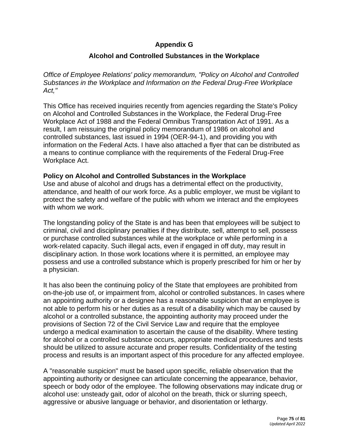## **Appendix G**

## **Alcohol and Controlled Substances in the Workplace**

*Office of Employee Relations' policy memorandum, "Policy on Alcohol and Controlled Substances in the Workplace and Information on the Federal Drug-Free Workplace Act,"* 

This Office has received inquiries recently from agencies regarding the State's Policy on Alcohol and Controlled Substances in the Workplace, the Federal Drug-Free Workplace Act of 1988 and the Federal Omnibus Transportation Act of 1991. As a result, I am reissuing the original policy memorandum of 1986 on alcohol and controlled substances, last issued in 1994 (OER-94-1), and providing you with information on the Federal Acts. I have also attached a flyer that can be distributed as a means to continue compliance with the requirements of the Federal Drug-Free Workplace Act.

#### **Policy on Alcohol and Controlled Substances in the Workplace**

Use and abuse of alcohol and drugs has a detrimental effect on the productivity, attendance, and health of our work force. As a public employer, we must be vigilant to protect the safety and welfare of the public with whom we interact and the employees with whom we work.

The longstanding policy of the State is and has been that employees will be subject to criminal, civil and disciplinary penalties if they distribute, sell, attempt to sell, possess or purchase controlled substances while at the workplace or while performing in a work-related capacity. Such illegal acts, even if engaged in off duty, may result in disciplinary action. In those work locations where it is permitted, an employee may possess and use a controlled substance which is properly prescribed for him or her by a physician.

It has also been the continuing policy of the State that employees are prohibited from on-the-job use of, or impairment from, alcohol or controlled substances. In cases where an appointing authority or a designee has a reasonable suspicion that an employee is not able to perform his or her duties as a result of a disability which may be caused by alcohol or a controlled substance, the appointing authority may proceed under the provisions of Section 72 of the Civil Service Law and require that the employee undergo a medical examination to ascertain the cause of the disability. Where testing for alcohol or a controlled substance occurs, appropriate medical procedures and tests should be utilized to assure accurate and proper results. Confidentiality of the testing process and results is an important aspect of this procedure for any affected employee.

A "reasonable suspicion" must be based upon specific, reliable observation that the appointing authority or designee can articulate concerning the appearance, behavior, speech or body odor of the employee. The following observations may indicate drug or alcohol use: unsteady gait, odor of alcohol on the breath, thick or slurring speech, aggressive or abusive language or behavior, and disorientation or lethargy.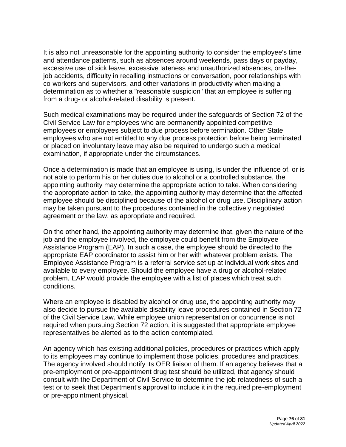It is also not unreasonable for the appointing authority to consider the employee's time and attendance patterns, such as absences around weekends, pass days or payday, excessive use of sick leave, excessive lateness and unauthorized absences, on-thejob accidents, difficulty in recalling instructions or conversation, poor relationships with co-workers and supervisors, and other variations in productivity when making a determination as to whether a "reasonable suspicion" that an employee is suffering from a drug- or alcohol-related disability is present.

Such medical examinations may be required under the safeguards of Section 72 of the Civil Service Law for employees who are permanently appointed competitive employees or employees subject to due process before termination. Other State employees who are not entitled to any due process protection before being terminated or placed on involuntary leave may also be required to undergo such a medical examination, if appropriate under the circumstances.

Once a determination is made that an employee is using, is under the influence of, or is not able to perform his or her duties due to alcohol or a controlled substance, the appointing authority may determine the appropriate action to take. When considering the appropriate action to take, the appointing authority may determine that the affected employee should be disciplined because of the alcohol or drug use. Disciplinary action may be taken pursuant to the procedures contained in the collectively negotiated agreement or the law, as appropriate and required.

On the other hand, the appointing authority may determine that, given the nature of the job and the employee involved, the employee could benefit from the Employee Assistance Program (EAP). In such a case, the employee should be directed to the appropriate EAP coordinator to assist him or her with whatever problem exists. The Employee Assistance Program is a referral service set up at individual work sites and available to every employee. Should the employee have a drug or alcohol-related problem, EAP would provide the employee with a list of places which treat such conditions.

Where an employee is disabled by alcohol or drug use, the appointing authority may also decide to pursue the available disability leave procedures contained in Section 72 of the Civil Service Law. While employee union representation or concurrence is not required when pursuing Section 72 action, it is suggested that appropriate employee representatives be alerted as to the action contemplated.

An agency which has existing additional policies, procedures or practices which apply to its employees may continue to implement those policies, procedures and practices. The agency involved should notify its OER liaison of them. If an agency believes that a pre-employment or pre-appointment drug test should be utilized, that agency should consult with the Department of Civil Service to determine the job relatedness of such a test or to seek that Department's approval to include it in the required pre-employment or pre-appointment physical.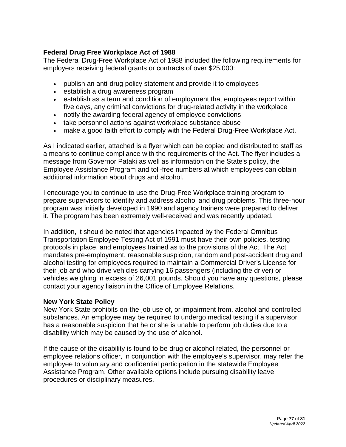## **Federal Drug Free Workplace Act of 1988**

The Federal Drug-Free Workplace Act of 1988 included the following requirements for employers receiving federal grants or contracts of over \$25,000:

- publish an anti-drug policy statement and provide it to employees
- establish a drug awareness program
- establish as a term and condition of employment that employees report within five days, any criminal convictions for drug-related activity in the workplace
- notify the awarding federal agency of employee convictions
- take personnel actions against workplace substance abuse
- make a good faith effort to comply with the Federal Drug-Free Workplace Act.

As I indicated earlier, attached is a flyer which can be copied and distributed to staff as a means to continue compliance with the requirements of the Act. The flyer includes a message from Governor Pataki as well as information on the State's policy, the Employee Assistance Program and toll-free numbers at which employees can obtain additional information about drugs and alcohol.

I encourage you to continue to use the Drug-Free Workplace training program to prepare supervisors to identify and address alcohol and drug problems. This three-hour program was initially developed in 1990 and agency trainers were prepared to deliver it. The program has been extremely well-received and was recently updated.

In addition, it should be noted that agencies impacted by the Federal Omnibus Transportation Employee Testing Act of 1991 must have their own policies, testing protocols in place, and employees trained as to the provisions of the Act. The Act mandates pre-employment, reasonable suspicion, random and post-accident drug and alcohol testing for employees required to maintain a Commercial Driver's License for their job and who drive vehicles carrying 16 passengers (including the driver) or vehicles weighing in excess of 26,001 pounds. Should you have any questions, please contact your agency liaison in the Office of Employee Relations.

#### **New York State Policy**

New York State prohibits on-the-job use of, or impairment from, alcohol and controlled substances. An employee may be required to undergo medical testing if a supervisor has a reasonable suspicion that he or she is unable to perform job duties due to a disability which may be caused by the use of alcohol.

If the cause of the disability is found to be drug or alcohol related, the personnel or employee relations officer, in conjunction with the employee's supervisor, may refer the employee to voluntary and confidential participation in the statewide Employee Assistance Program. Other available options include pursuing disability leave procedures or disciplinary measures.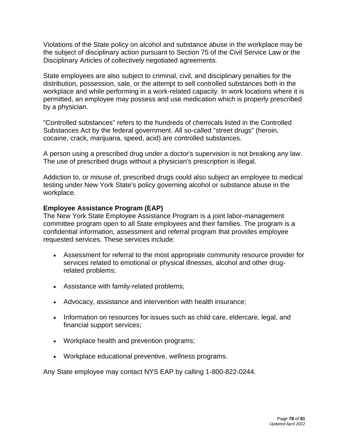Violations of the State policy on alcohol and substance abuse in the workplace may be the subject of disciplinary action pursuant to Section 75 of the Civil Service Law or the Disciplinary Articles of collectively negotiated agreements.

State employees are also subject to criminal, civil, and disciplinary penalties for the distribution, possession, sale, or the attempt to sell controlled substances both in the workplace and while performing in a work-related capacity. In work locations where it is permitted, an employee may possess and use medication which is properly prescribed by a physician.

"Controlled substances" refers to the hundreds of chemicals listed in the Controlled Substances Act by the federal government. All so-called "street drugs" (heroin, cocaine, crack, marijuana, speed, acid) are controlled substances.

A person using a prescribed drug under a doctor's supervision is not breaking any law. The use of prescribed drugs without a physician's prescription is illegal.

Addiction to, or misuse of, prescribed drugs could also subject an employee to medical testing under New York State's policy governing alcohol or substance abuse in the workplace.

#### **Employee Assistance Program (EAP)**

The New York State Employee Assistance Program is a joint labor-management committee program open to all State employees and their families. The program is a confidential information, assessment and referral program that provides employee requested services. These services include:

- Assessment for referral to the most appropriate community resource provider for services related to emotional or physical illnesses, alcohol and other drugrelated problems;
- Assistance with family-related problems;
- Advocacy, assistance and intervention with health insurance;
- Information on resources for issues such as child care, eldercare, legal, and financial support services;
- Workplace health and prevention programs;
- Workplace educational preventive, wellness programs.

Any State employee may contact NYS EAP by calling 1-800-822-0244.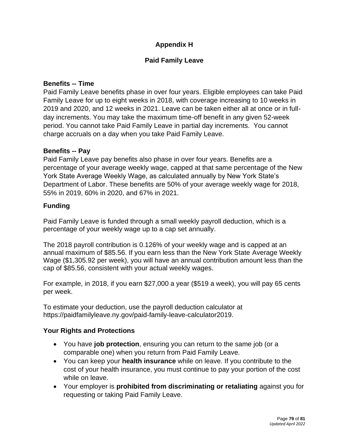# **Appendix H**

# **Paid Family Leave**

### **Benefits -- Time**

Paid Family Leave benefits phase in over four years. Eligible employees can take Paid Family Leave for up to eight weeks in 2018, with coverage increasing to 10 weeks in 2019 and 2020, and 12 weeks in 2021. Leave can be taken either all at once or in fullday increments. You may take the maximum time-off benefit in any given 52-week period. You cannot take Paid Family Leave in partial day increments. You cannot charge accruals on a day when you take Paid Family Leave.

## **Benefits -- Pay**

Paid Family Leave pay benefits also phase in over four years. Benefits are a percentage of your average weekly wage, capped at that same percentage of the New York State Average Weekly Wage, as calculated annually by New York State's Department of Labor. These benefits are 50% of your average weekly wage for 2018, 55% in 2019, 60% in 2020, and 67% in 2021.

## **Funding**

Paid Family Leave is funded through a small weekly payroll deduction, which is a percentage of your weekly wage up to a cap set annually.

The 2018 payroll contribution is 0.126% of your weekly wage and is capped at an annual maximum of \$85.56. If you earn less than the New York State Average Weekly Wage (\$1,305.92 per week), you will have an annual contribution amount less than the cap of \$85.56, consistent with your actual weekly wages.

For example, in 2018, if you earn \$27,000 a year (\$519 a week), you will pay 65 cents per week.

To estimate your deduction, use the payroll deduction calculator at https://paidfamilyleave.ny.gov/paid-family-leave-calculator2019.

#### **Your Rights and Protections**

- You have **job protection**, ensuring you can return to the same job (or a comparable one) when you return from Paid Family Leave.
- You can keep your **health insurance** while on leave. If you contribute to the cost of your health insurance, you must continue to pay your portion of the cost while on leave.
- Your employer is **prohibited from discriminating or retaliating** against you for requesting or taking Paid Family Leave.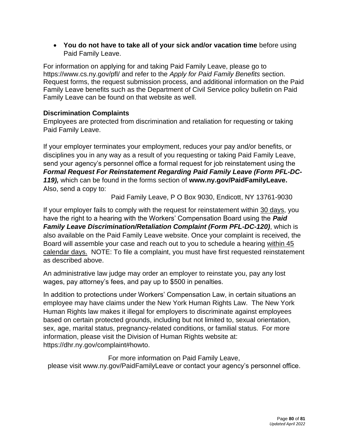• **You do not have to take all of your sick and/or vacation time** before using Paid Family Leave.

For information on applying for and taking Paid Family Leave, please go to <https://www.cs.ny.gov/pfl/> and refer to the *Apply for Paid Family Benefits* section. Request forms, the request submission process, and additional information on the Paid Family Leave benefits such as the Department of Civil Service policy bulletin on Paid Family Leave can be found on that website as well.

## **Discrimination Complaints**

Employees are protected from discrimination and retaliation for requesting or taking Paid Family Leave.

If your employer terminates your employment, reduces your pay and/or benefits, or disciplines you in any way as a result of you requesting or taking Paid Family Leave, send your agency's personnel office a formal request for job reinstatement using the *Formal Request For Reinstatement Regarding Paid Family Leave (Form PFL-DC-119),* which can be found in the forms section of **[www.ny.gov/PaidFamilyLeave.](http://ny.gov/PaidFamilyLeave)**  Also, send a copy to:

Paid Family Leave, P O Box 9030, Endicott, NY 13761-9030

If your employer fails to comply with the request for reinstatement within 30 days, you have the right to a hearing with the Workers' Compensation Board using the *Paid Family Leave Discrimination/Retaliation Complaint (Form PFL-DC-120)*, which is also available on the Paid Family Leave website. Once your complaint is received, the Board will assemble your case and reach out to you to schedule a hearing within 45 calendar days. NOTE: To file a complaint, you must have first requested reinstatement as described above.

An administrative law judge may order an employer to reinstate you, pay any lost wages, pay attorney's fees, and pay up to \$500 in penalties.

In addition to protections under Workers' Compensation Law, in certain situations an employee may have claims under the New York Human Rights Law. The New York Human Rights law makes it illegal for employers to discriminate against employees based on certain protected grounds, including but not limited to, sexual orientation, sex, age, marital status, pregnancy-related conditions, or familial status. For more information, please visit the Division of Human Rights website at: https://dhr.ny.gov/complaint#howto.

For more information on Paid Family Leave, please visit [www.ny.gov/PaidFamilyLeave](http://ny.gov/PaidFamilyLeave) or contact your agency's personnel office.